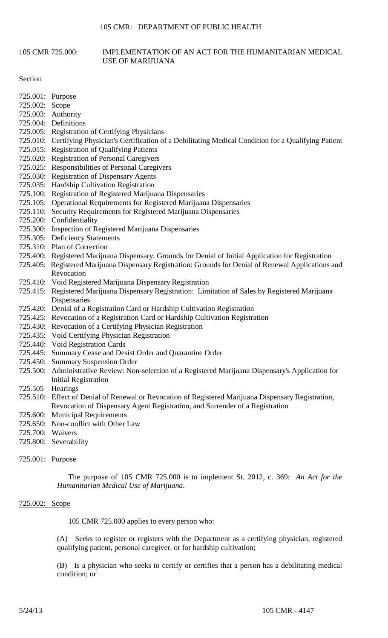### 105 CMR 725.000: IMPLEMENTATION OF AN ACT FOR THE HUMANITARIAN MEDICAL USE OF MARIJUANA

Section

- 725.001: Purpose
- 725.002: Scope
- 725.003: Authority
- 725.004: Definitions
- 725.005: Registration of Certifying Physicians
- 725.010: Certifying Physician's Certification of a Debilitating Medical Condition for a Qualifying Patient
- 725.015: Registration of Qualifying Patients
- 725.020: Registration of Personal Caregivers
- 725.025: Responsibilities of Personal Caregivers
- 725.030: Registration of Dispensary Agents
- 725.035: Hardship Cultivation Registration
- 725.100: Registration of Registered Marijuana Dispensaries
- 725.105: Operational Requirements for Registered Marijuana Dispensaries
- 725.110: Security Requirements for Registered Marijuana Dispensaries
- 725.200: Confidentiality
- 725.300: Inspection of Registered Marijuana Dispensaries
- 725.305: Deficiency Statements
- 725.310: Plan of Correction
- 725.400: Registered Marijuana Dispensary: Grounds for Denial of Initial Application for Registration
- 725.405: Registered Marijuana Dispensary Registration: Grounds for Denial of Renewal Applications and Revocation
- 725.410: Void Registered Marijuana Dispensary Registration
- 725.415: Registered Marijuana Dispensary Registration: Limitation of Sales by Registered Marijuana Dispensaries
- 725.420: Denial of a Registration Card or Hardship Cultivation Registration
- 725.425: Revocation of a Registration Card or Hardship Cultivation Registration
- 725.430: Revocation of a Certifying Physician Registration
- 725.435: Void Certifying Physician Registration
- 725.440: Void Registration Cards
- 725.445: Summary Cease and Desist Order and Quarantine Order
- 725.450: Summary Suspension Order
- 725.500: Administrative Review: Non-selection of a Registered Marijuana Dispensary's Application for Initial Registration
- 725.505 Hearings
- 725.510: Effect of Denial of Renewal or Revocation of Registered Marijuana Dispensary Registration, Revocation of Dispensary Agent Registration, and Surrender of a Registration
- 725.600: Municipal Requirements
- 725.650: Non-conflict with Other Law
- 725.700: Waivers
- 725.800: Severability

## 725.001: Purpose

The purpose of 105 CMR 725.000 is to implement St. 2012, c. 369: *An Act for the Humanitarian Medical Use of Marijuana*.

## 725.002: Scope

105 CMR 725.000 applies to every person who:

(A) Seeks to register or registers with the Department as a certifying physician, registered qualifying patient, personal caregiver, or for hardship cultivation;

 (B) Is a physician who seeks to certify or certifies that a person has a debilitating medical condition; or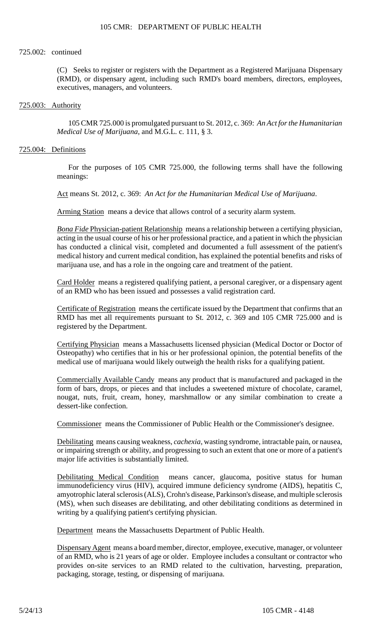#### 725.002: continued

(C) Seeks to register or registers with the Department as a Registered Marijuana Dispensary (RMD), or dispensary agent, including such RMD's board members, directors, employees, executives, managers, and volunteers.

# 725.003: Authority

105 CMR 725.000 is promulgated pursuant to St. 2012, c. 369: *An Act for the Humanitarian Medical Use of Marijuana*, and M.G.L. c. 111, § 3.

#### 725.004: Definitions

For the purposes of 105 CMR 725.000, the following terms shall have the following meanings:

Act means St. 2012, c. 369: *An Act for the Humanitarian Medical Use of Marijuana*.

Arming Station means a device that allows control of a security alarm system.

*Bona Fide* Physician-patient Relationship means a relationship between a certifying physician, acting in the usual course of his or her professional practice, and a patient in which the physician has conducted a clinical visit, completed and documented a full assessment of the patient's medical history and current medical condition, has explained the potential benefits and risks of marijuana use, and has a role in the ongoing care and treatment of the patient.

Card Holder means a registered qualifying patient, a personal caregiver, or a dispensary agent of an RMD who has been issued and possesses a valid registration card.

Certificate of Registration means the certificate issued by the Department that confirms that an RMD has met all requirements pursuant to St. 2012, c. 369 and 105 CMR 725.000 and is registered by the Department.

 Osteopathy) who certifies that in his or her professional opinion, the potential benefits of the Certifying Physician means a Massachusetts licensed physician (Medical Doctor or Doctor of medical use of marijuana would likely outweigh the health risks for a qualifying patient.

 form of bars, drops, or pieces and that includes a sweetened mixture of chocolate, caramel, Commercially Available Candy means any product that is manufactured and packaged in the nougat, nuts, fruit, cream, honey, marshmallow or any similar combination to create a dessert-like confection.

Commissioner means the Commissioner of Public Health or the Commissioner's designee.

 or impairing strength or ability, and progressing to such an extent that one or more of a patient's Debilitating means causing weakness, *cachexia*, wasting syndrome, intractable pain, or nausea, major life activities is substantially limited.

Debilitating Medical Condition means cancer, glaucoma, positive status for human immunodeficiency virus (HIV), acquired immune deficiency syndrome (AIDS), hepatitis C, amyotrophic lateral sclerosis (ALS), Crohn's disease, Parkinson's disease, and multiple sclerosis (MS), when such diseases are debilitating, and other debilitating conditions as determined in writing by a qualifying patient's certifying physician.

Department means the Massachusetts Department of Public Health.

Dispensary Agent means a board member, director, employee, executive, manager, or volunteer of an RMD, who is 21 years of age or older. Employee includes a consultant or contractor who provides on-site services to an RMD related to the cultivation, harvesting, preparation, packaging, storage, testing, or dispensing of marijuana.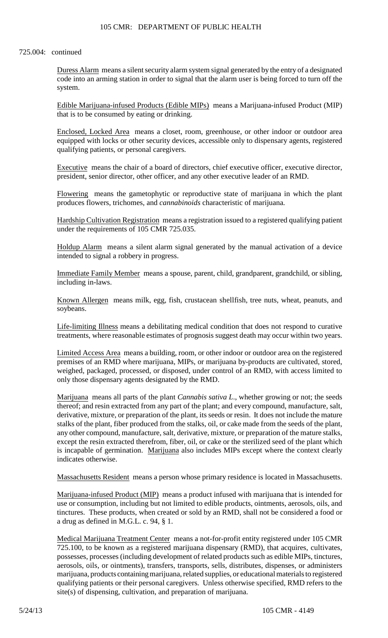#### 725.004: continued

Duress Alarm means a silent security alarm system signal generated by the entry of a designated code into an arming station in order to signal that the alarm user is being forced to turn off the system.

Edible Marijuana-infused Products (Edible MIPs) means a Marijuana-infused Product (MIP) that is to be consumed by eating or drinking.

Enclosed, Locked Area means a closet, room, greenhouse, or other indoor or outdoor area equipped with locks or other security devices, accessible only to dispensary agents, registered qualifying patients, or personal caregivers.

Executive means the chair of a board of directors, chief executive officer, executive director, president, senior director, other officer, and any other executive leader of an RMD.

Flowering means the gametophytic or reproductive state of marijuana in which the plant produces flowers, trichomes, and *cannabinoids* characteristic of marijuana.

Hardship Cultivation Registration means a registration issued to a registered qualifying patient under the requirements of 105 CMR 725.035.

Holdup Alarm means a silent alarm signal generated by the manual activation of a device intended to signal a robbery in progress.

Immediate Family Member means a spouse, parent, child, grandparent, grandchild, or sibling, including in-laws.

Known Allergen means milk, egg, fish, crustacean shellfish, tree nuts, wheat, peanuts, and soybeans.

 treatments, where reasonable estimates of prognosis suggest death may occur within two years. Life-limiting Illness means a debilitating medical condition that does not respond to curative

 Limited Access Area means a building, room, or other indoor or outdoor area on the registered premises of an RMD where marijuana, MIPs, or marijuana by-products are cultivated, stored, weighed, packaged, processed, or disposed, under control of an RMD, with access limited to only those dispensary agents designated by the RMD.

 Marijuana means all parts of the plant *Cannabis sativa L*., whether growing or not; the seeds thereof; and resin extracted from any part of the plant; and every compound, manufacture, salt, stalks of the plant, fiber produced from the stalks, oil, or cake made from the seeds of the plant, derivative, mixture, or preparation of the plant, its seeds or resin. It does not include the mature any other compound, manufacture, salt, derivative, mixture, or preparation of the mature stalks, except the resin extracted therefrom, fiber, oil, or cake or the sterilized seed of the plant which is incapable of germination. Marijuana also includes MIPs except where the context clearly indicates otherwise.

Massachusetts Resident means a person whose primary residence is located in Massachusetts.

Marijuana-infused Product (MIP) means a product infused with marijuana that is intended for use or consumption, including but not limited to edible products, ointments, aerosols, oils, and tinctures. These products, when created or sold by an RMD, shall not be considered a food or a drug as defined in M.G.L. c. 94, § 1.

 725.100, to be known as a registered marijuana dispensary (RMD), that acquires, cultivates, Medical Marijuana Treatment Center means a not-for-profit entity registered under 105 CMR possesses, processes (including development of related products such as edible MIPs, tinctures, aerosols, oils, or ointments), transfers, transports, sells, distributes, dispenses, or administers marijuana, products containing marijuana, related supplies, or educational materials to registered qualifying patients or their personal caregivers. Unless otherwise specified, RMD refers to the site(s) of dispensing, cultivation, and preparation of marijuana.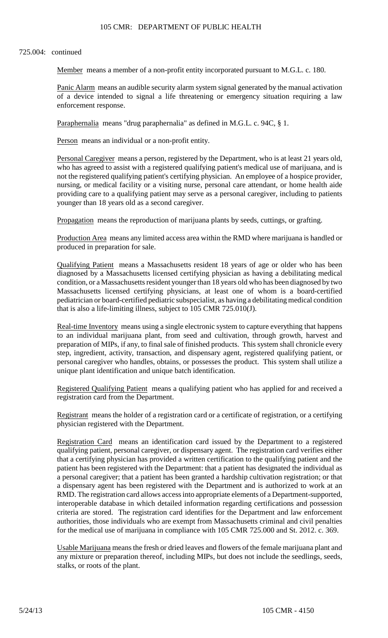## 725.004: continued

Member means a member of a non-profit entity incorporated pursuant to M.G.L. c. 180.

Panic Alarm means an audible security alarm system signal generated by the manual activation of a device intended to signal a life threatening or emergency situation requiring a law enforcement response.

Paraphernalia means "drug paraphernalia" as defined in M.G.L. c. 94C, § 1.

Person means an individual or a non-profit entity.

 who has agreed to assist with a registered qualifying patient's medical use of marijuana, and is Personal Caregiver means a person, registered by the Department, who is at least 21 years old, not the registered qualifying patient's certifying physician. An employee of a hospice provider, nursing, or medical facility or a visiting nurse, personal care attendant, or home health aide providing care to a qualifying patient may serve as a personal caregiver, including to patients younger than 18 years old as a second caregiver.

Propagation means the reproduction of marijuana plants by seeds, cuttings, or grafting.

Production Area means any limited access area within the RMD where marijuana is handled or produced in preparation for sale.

Qualifying Patient means a Massachusetts resident 18 years of age or older who has been diagnosed by a Massachusetts licensed certifying physician as having a debilitating medical condition, or a Massachusetts resident younger than 18 years old who has been diagnosed by two Massachusetts licensed certifying physicians, at least one of whom is a board-certified pediatrician or board-certified pediatric subspecialist, as having a debilitating medical condition that is also a life-limiting illness, subject to 105 CMR 725.010(J).

Real-time Inventory means using a single electronic system to capture everything that happens to an individual marijuana plant, from seed and cultivation, through growth, harvest and preparation of MIPs, if any, to final sale of finished products. This system shall chronicle every step, ingredient, activity, transaction, and dispensary agent, registered qualifying patient, or personal caregiver who handles, obtains, or possesses the product. This system shall utilize a unique plant identification and unique batch identification.

Registered Qualifying Patient means a qualifying patient who has applied for and received a registration card from the Department.

Registrant means the holder of a registration card or a certificate of registration, or a certifying physician registered with the Department.

Registration Card means an identification card issued by the Department to a registered qualifying patient, personal caregiver, or dispensary agent. The registration card verifies either that a certifying physician has provided a written certification to the qualifying patient and the patient has been registered with the Department: that a patient has designated the individual as a personal caregiver; that a patient has been granted a hardship cultivation registration; or that a dispensary agent has been registered with the Department and is authorized to work at an RMD. The registration card allows access into appropriate elements of a Department-supported, interoperable database in which detailed information regarding certifications and possession criteria are stored. The registration card identifies for the Department and law enforcement authorities, those individuals who are exempt from Massachusetts criminal and civil penalties for the medical use of marijuana in compliance with 105 CMR 725.000 and St. 2012. c. 369.

Usable Marijuana means the fresh or dried leaves and flowers of the female marijuana plant and any mixture or preparation thereof, including MIPs, but does not include the seedlings, seeds, stalks, or roots of the plant.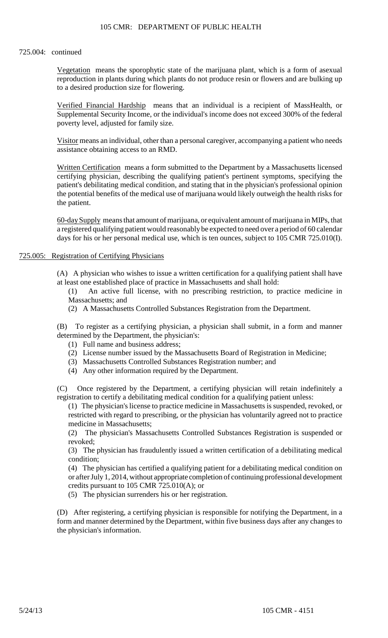#### 725.004: continued

Vegetation means the sporophytic state of the marijuana plant, which is a form of asexual reproduction in plants during which plants do not produce resin or flowers and are bulking up to a desired production size for flowering.

 Verified Financial Hardship means that an individual is a recipient of MassHealth, or Supplemental Security Income, or the individual's income does not exceed 300% of the federal poverty level, adjusted for family size.

Visitor means an individual, other than a personal caregiver, accompanying a patient who needs assistance obtaining access to an RMD.

Written Certification means a form submitted to the Department by a Massachusetts licensed certifying physician, describing the qualifying patient's pertinent symptoms, specifying the patient's debilitating medical condition, and stating that in the physician's professional opinion the potential benefits of the medical use of marijuana would likely outweigh the health risks for the patient.

60-day Supply means that amount of marijuana, or equivalent amount of marijuana in MIPs, that a registered qualifying patient would reasonably be expected to need over a period of 60 calendar days for his or her personal medical use, which is ten ounces, subject to 105 CMR 725.010(I).

#### 725.005: Registration of Certifying Physicians

(A) A physician who wishes to issue a written certification for a qualifying patient shall have at least one established place of practice in Massachusetts and shall hold:

(1) An active full license, with no prescribing restriction, to practice medicine in Massachusetts; and

(2) A Massachusetts Controlled Substances Registration from the Department.

(B) To register as a certifying physician, a physician shall submit, in a form and manner determined by the Department, the physician's:

- (1) Full name and business address;
- (2) License number issued by the Massachusetts Board of Registration in Medicine;
- (3) Massachusetts Controlled Substances Registration number; and
- (4) Any other information required by the Department.

 $(C)$ C) Once registered by the Department, a certifying physician will retain indefinitely a registration to certify a debilitating medical condition for a qualifying patient unless:

(1) The physician's license to practice medicine in Massachusetts is suspended, revoked, or restricted with regard to prescribing, or the physician has voluntarily agreed not to practice medicine in Massachusetts;

(2) The physician's Massachusetts Controlled Substances Registration is suspended or revoked;

 (3) The physician has fraudulently issued a written certification of a debilitating medical condition;

(4) The physician has certified a qualifying patient for a debilitating medical condition on or after July 1, 2014, without appropriate completion of continuing professional development credits pursuant to 105 CMR 725.010(A); or

(5) The physician surrenders his or her registration.

 (D) After registering, a certifying physician is responsible for notifying the Department, in a form and manner determined by the Department, within five business days after any changes to the physician's information.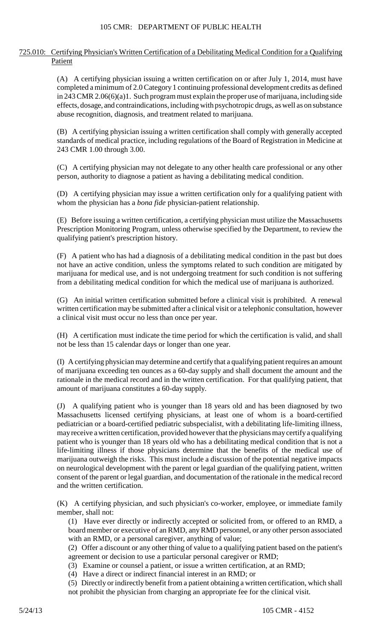## 725.010: Certifying Physician's Written Certification of a Debilitating Medical Condition for a Qualifying Patient

 (A) A certifying physician issuing a written certification on or after July 1, 2014, must have completed a minimum of 2.0 Category 1 continuing professional development credits as defined in 243 CMR 2.06(6)(a)1. Such program must explain the proper use of marijuana, including side effects, dosage, and contraindications, including with psychotropic drugs, as well as on substance abuse recognition, diagnosis, and treatment related to marijuana.

(B) A certifying physician issuing a written certification shall comply with generally accepted standards of medical practice, including regulations of the Board of Registration in Medicine at 243 CMR 1.00 through 3.00.

(C) A certifying physician may not delegate to any other health care professional or any other person, authority to diagnose a patient as having a debilitating medical condition.

 (D) A certifying physician may issue a written certification only for a qualifying patient with whom the physician has a *bona fide* physician-patient relationship.

 (E) Before issuing a written certification, a certifying physician must utilize the Massachusetts Prescription Monitoring Program, unless otherwise specified by the Department, to review the qualifying patient's prescription history.

(F) A patient who has had a diagnosis of a debilitating medical condition in the past but does not have an active condition, unless the symptoms related to such condition are mitigated by marijuana for medical use, and is not undergoing treatment for such condition is not suffering from a debilitating medical condition for which the medical use of marijuana is authorized.

(G) An initial written certification submitted before a clinical visit is prohibited. A renewal written certification may be submitted after a clinical visit or a telephonic consultation, however a clinical visit must occur no less than once per year.

 (H) A certification must indicate the time period for which the certification is valid, and shall not be less than 15 calendar days or longer than one year.

 of marijuana exceeding ten ounces as a 60-day supply and shall document the amount and the (I) A certifying physician may determine and certify that a qualifying patient requires an amount rationale in the medical record and in the written certification. For that qualifying patient, that amount of marijuana constitutes a 60-day supply.

 (J) A qualifying patient who is younger than 18 years old and has been diagnosed by two pediatrician or a board-certified pediatric subspecialist, with a debilitating life-limiting illness, marijuana outweigh the risks. This must include a discussion of the potential negative impacts Massachusetts licensed certifying physicians, at least one of whom is a board-certified may receive a written certification, provided however that the physicians may certify a qualifying patient who is younger than 18 years old who has a debilitating medical condition that is not a life-limiting illness if those physicians determine that the benefits of the medical use of on neurological development with the parent or legal guardian of the qualifying patient, written consent of the parent or legal guardian, and documentation of the rationale in the medical record and the written certification.

(K) A certifying physician, and such physician's co-worker, employee, or immediate family member, shall not:

(1) Have ever directly or indirectly accepted or solicited from, or offered to an RMD, a board member or executive of an RMD, any RMD personnel, or any other person associated with an RMD, or a personal caregiver, anything of value;

(2) Offer a discount or any other thing of value to a qualifying patient based on the patient's agreement or decision to use a particular personal caregiver or RMD;

(3) Examine or counsel a patient, or issue a written certification, at an RMD;

(4) Have a direct or indirect financial interest in an RMD; or

 (5) Directly or indirectly benefit from a patient obtaining a written certification, which shall not prohibit the physician from charging an appropriate fee for the clinical visit.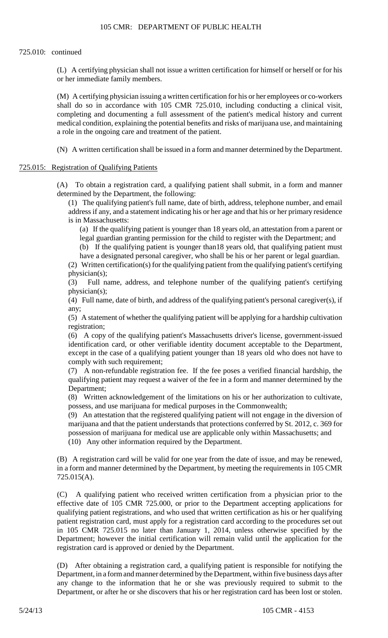(L) A certifying physician shall not issue a written certification for himself or herself or for his or her immediate family members.

 (M) A certifying physician issuing a written certification for his or her employees or co-workers shall do so in accordance with 105 CMR 725.010, including conducting a clinical visit, completing and documenting a full assessment of the patient's medical history and current medical condition, explaining the potential benefits and risks of marijuana use, and maintaining a role in the ongoing care and treatment of the patient.

(N) A written certification shall be issued in a form and manner determined by the Department.

#### 725.015: Registration of Qualifying Patients

(A) To obtain a registration card, a qualifying patient shall submit, in a form and manner determined by the Department, the following:

(1) The qualifying patient's full name, date of birth, address, telephone number, and email address if any, and a statement indicating his or her age and that his or her primary residence is in Massachusetts:

(a) If the qualifying patient is younger than 18 years old, an attestation from a parent or

legal guardian granting permission for the child to register with the Department; and

(b) If the qualifying patient is younger than18 years old, that qualifying patient must have a designated personal caregiver, who shall be his or her parent or legal guardian.

(2) Written certification(s) for the qualifying patient from the qualifying patient's certifying physician(s);

(3) Full name, address, and telephone number of the qualifying patient's certifying physician(s);

 (4) Full name, date of birth, and address of the qualifying patient's personal caregiver(s), if any;

(5) A statement of whether the qualifying patient will be applying for a hardship cultivation registration;

(6) A copy of the qualifying patient's Massachusetts driver's license, government-issued identification card, or other verifiable identity document acceptable to the Department, except in the case of a qualifying patient younger than 18 years old who does not have to comply with such requirement;

(7) A non-refundable registration fee. If the fee poses a verified financial hardship, the qualifying patient may request a waiver of the fee in a form and manner determined by the Department;

(8) Written acknowledgement of the limitations on his or her authorization to cultivate, possess, and use marijuana for medical purposes in the Commonwealth;

(9) An attestation that the registered qualifying patient will not engage in the diversion of marijuana and that the patient understands that protections conferred by St. 2012, c. 369 for possession of marijuana for medical use are applicable only within Massachusetts; and (10) Any other information required by the Department.

(B) A registration card will be valid for one year from the date of issue, and may be renewed, in a form and manner determined by the Department, by meeting the requirements in 105 CMR 725.015(A).

 effective date of 105 CMR 725.000, or prior to the Department accepting applications for (C) A qualifying patient who received written certification from a physician prior to the qualifying patient registrations, and who used that written certification as his or her qualifying patient registration card, must apply for a registration card according to the procedures set out in 105 CMR 725.015 no later than January 1, 2014, unless otherwise specified by the Department; however the initial certification will remain valid until the application for the registration card is approved or denied by the Department.

(D) After obtaining a registration card, a qualifying patient is responsible for notifying the Department, in a form and manner determined by the Department, within five business days after any change to the information that he or she was previously required to submit to the Department, or after he or she discovers that his or her registration card has been lost or stolen.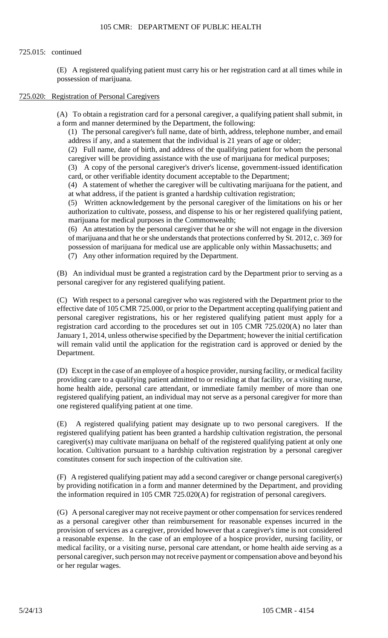## 725.015: continued

 (E) A registered qualifying patient must carry his or her registration card at all times while in possession of marijuana.

### 725.020: Registration of Personal Caregivers

 (A) To obtain a registration card for a personal caregiver, a qualifying patient shall submit, in a form and manner determined by the Department, the following:

(1) The personal caregiver's full name, date of birth, address, telephone number, and email address if any, and a statement that the individual is 21 years of age or older;

(2) Full name, date of birth, and address of the qualifying patient for whom the personal caregiver will be providing assistance with the use of marijuana for medical purposes;

(3) A copy of the personal caregiver's driver's license, government-issued identification card, or other verifiable identity document acceptable to the Department;

(4) A statement of whether the caregiver will be cultivating marijuana for the patient, and at what address, if the patient is granted a hardship cultivation registration;

(5) Written acknowledgement by the personal caregiver of the limitations on his or her authorization to cultivate, possess, and dispense to his or her registered qualifying patient, marijuana for medical purposes in the Commonwealth;

(6) An attestation by the personal caregiver that he or she will not engage in the diversion of marijuana and that he or she understands that protections conferred by St. 2012, c. 369 for possession of marijuana for medical use are applicable only within Massachusetts; and

(7) Any other information required by the Department.

(B) An individual must be granted a registration card by the Department prior to serving as a personal caregiver for any registered qualifying patient.

(C) With respect to a personal caregiver who was registered with the Department prior to the effective date of 105 CMR 725.000, or prior to the Department accepting qualifying patient and personal caregiver registrations, his or her registered qualifying patient must apply for a registration card according to the procedures set out in 105 CMR 725.020(A) no later than January 1, 2014, unless otherwise specified by the Department; however the initial certification will remain valid until the application for the registration card is approved or denied by the Department.

(D) Except in the case of an employee of a hospice provider, nursing facility, or medical facility providing care to a qualifying patient admitted to or residing at that facility, or a visiting nurse, home health aide, personal care attendant, or immediate family member of more than one registered qualifying patient, an individual may not serve as a personal caregiver for more than one registered qualifying patient at one time.

(E) A registered qualifying patient may designate up to two personal caregivers. If the registered qualifying patient has been granted a hardship cultivation registration, the personal caregiver(s) may cultivate marijuana on behalf of the registered qualifying patient at only one location. Cultivation pursuant to a hardship cultivation registration by a personal caregiver constitutes consent for such inspection of the cultivation site.

(F) A registered qualifying patient may add a second caregiver or change personal caregiver(s) by providing notification in a form and manner determined by the Department, and providing the information required in 105 CMR 725.020(A) for registration of personal caregivers.

 personal caregiver, such person may not receive payment or compensation above and beyond his (G) A personal caregiver may not receive payment or other compensation for services rendered as a personal caregiver other than reimbursement for reasonable expenses incurred in the provision of services as a caregiver, provided however that a caregiver's time is not considered a reasonable expense. In the case of an employee of a hospice provider, nursing facility, or medical facility, or a visiting nurse, personal care attendant, or home health aide serving as a or her regular wages.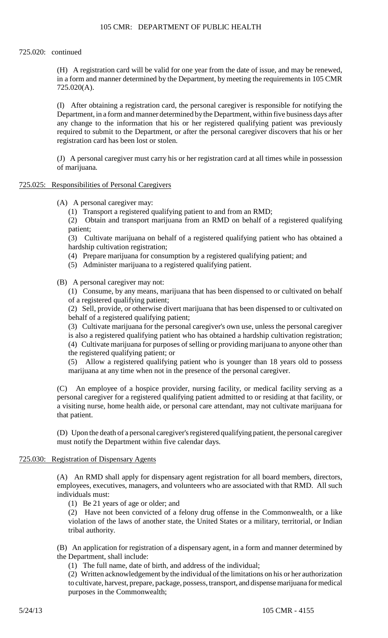## 725.020: continued

(H) A registration card will be valid for one year from the date of issue, and may be renewed, in a form and manner determined by the Department, by meeting the requirements in 105 CMR 725.020(A).

(I) After obtaining a registration card, the personal caregiver is responsible for notifying the Department, in a form and manner determined bythe Department, within five business days after any change to the information that his or her registered qualifying patient was previously required to submit to the Department, or after the personal caregiver discovers that his or her registration card has been lost or stolen.

(J) A personal caregiver must carry his or her registration card at all times while in possession of marijuana.

## 725.025: Responsibilities of Personal Caregivers

- (A) A personal caregiver may:
	- (1) Transport a registered qualifying patient to and from an RMD;

(2) Obtain and transport marijuana from an RMD on behalf of a registered qualifying patient;

(3) Cultivate marijuana on behalf of a registered qualifying patient who has obtained a hardship cultivation registration;

- (4) Prepare marijuana for consumption by a registered qualifying patient; and
- (5) Administer marijuana to a registered qualifying patient.

(B) A personal caregiver may not:

 (1) Consume, by any means, marijuana that has been dispensed to or cultivated on behalf of a registered qualifying patient;

(2) Sell, provide, or otherwise divert marijuana that has been dispensed to or cultivated on behalf of a registered qualifying patient;

(3) Cultivate marijuana for the personal caregiver's own use, unless the personal caregiver is also a registered qualifying patient who has obtained a hardship cultivation registration; (4) Cultivate marijuana for purposes of selling or providing marijuana to anyone other than the registered qualifying patient; or

 $(5)$ Allow a registered qualifying patient who is younger than 18 years old to possess marijuana at any time when not in the presence of the personal caregiver.

(C) An employee of a hospice provider, nursing facility, or medical facility serving as a personal caregiver for a registered qualifying patient admitted to or residing at that facility, or a visiting nurse, home health aide, or personal care attendant, may not cultivate marijuana for that patient.

(D) Upon the death of a personal caregiver's registered qualifying patient, the personal caregiver must notify the Department within five calendar days.

## 725.030: Registration of Dispensary Agents

(A) An RMD shall apply for dispensary agent registration for all board members, directors, employees, executives, managers, and volunteers who are associated with that RMD. All such individuals must:

(1) Be 21 years of age or older; and

(2) Have not been convicted of a felony drug offense in the Commonwealth, or a like violation of the laws of another state, the United States or a military, territorial, or Indian tribal authority.

(B) An application for registration of a dispensary agent, in a form and manner determined by the Department, shall include:

(1) The full name, date of birth, and address of the individual;

(2) Written acknowledgement by the individual of the limitations on his or her authorization to cultivate, harvest, prepare, package, possess, transport, and dispense marijuana for medical purposes in the Commonwealth;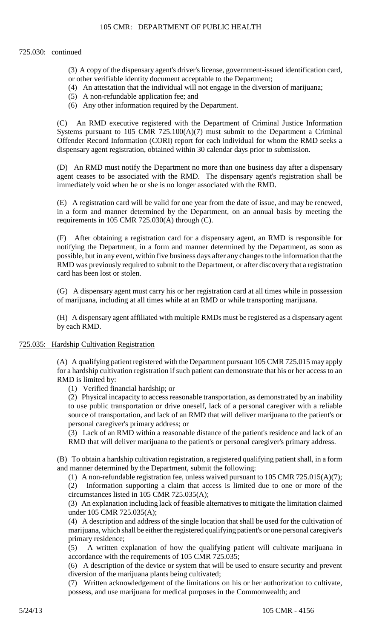#### 725.030: continued

- (3) A copy of the dispensary agent's driver's license, government-issued identification card, or other verifiable identity document acceptable to the Department;
- (4) An attestation that the individual will not engage in the diversion of marijuana;
- (5) A non-refundable application fee; and
- (6) Any other information required by the Department.

(C) An RMD executive registered with the Department of Criminal Justice Information Systems pursuant to 105 CMR  $725.100(A)(7)$  must submit to the Department a Criminal Offender Record Information (CORI) report for each individual for whom the RMD seeks a dispensary agent registration, obtained within 30 calendar days prior to submission.

 agent ceases to be associated with the RMD. The dispensary agent's registration shall be (D) An RMD must notify the Department no more than one business day after a dispensary immediately void when he or she is no longer associated with the RMD.

(E) A registration card will be valid for one year from the date of issue, and may be renewed, in a form and manner determined by the Department, on an annual basis by meeting the requirements in 105 CMR 725.030(A) through (C).

(F) After obtaining a registration card for a dispensary agent, an RMD is responsible for notifying the Department, in a form and manner determined by the Department, as soon as possible, but in any event, within five business days after any changes to the information that the RMD was previously required to submit to the Department, or after discovery that a registration card has been lost or stolen.

(G) A dispensary agent must carry his or her registration card at all times while in possession of marijuana, including at all times while at an RMD or while transporting marijuana.

(H) A dispensary agent affiliated with multiple RMDs must be registered as a dispensary agent by each RMD.

#### 725.035: Hardship Cultivation Registration

 (A) A qualifying patient registered with the Department pursuant 105 CMR 725.015 may apply for a hardship cultivation registration if such patient can demonstrate that his or her access to an RMD is limited by:

(1) Verified financial hardship; or

(2) Physical incapacity to access reasonable transportation, as demonstrated by an inability to use public transportation or drive oneself, lack of a personal caregiver with a reliable source of transportation, and lack of an RMD that will deliver marijuana to the patient's or personal caregiver's primary address; or

(3) Lack of an RMD within a reasonable distance of the patient's residence and lack of an RMD that will deliver marijuana to the patient's or personal caregiver's primary address.

(B) To obtain a hardship cultivation registration, a registered qualifying patient shall, in a form and manner determined by the Department, submit the following:

(1) A non-refundable registration fee, unless waived pursuant to 105 CMR 725.015(A)(7);

(2) Information supporting a claim that access is limited due to one or more of the circumstances listed in 105 CMR 725.035(A);

(3) An explanation including lack of feasible alternatives to mitigate the limitation claimed under 105 CMR 725.035(A);

 marijuana, which shall be either the registered qualifying patient's or one personal caregiver's (4) A description and address of the single location that shall be used for the cultivation of primary residence;

(5) A written explanation of how the qualifying patient will cultivate marijuana in accordance with the requirements of 105 CMR 725.035;

(6) A description of the device or system that will be used to ensure security and prevent diversion of the marijuana plants being cultivated;

 (7) Written acknowledgement of the limitations on his or her authorization to cultivate, possess, and use marijuana for medical purposes in the Commonwealth; and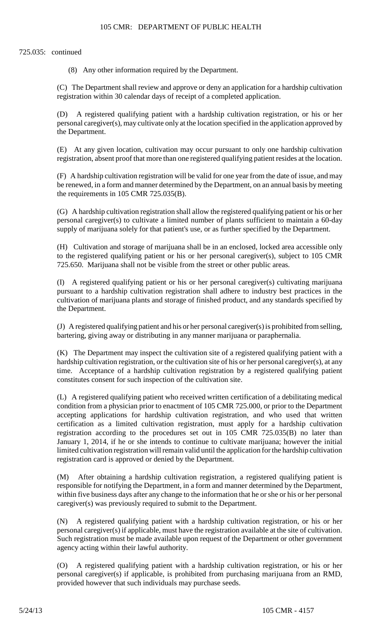## 725.035: continued

(8) Any other information required by the Department.

(C) The Department shall review and approve or deny an application for a hardship cultivation registration within 30 calendar days of receipt of a completed application.

(D) A registered qualifying patient with a hardship cultivation registration, or his or her personal caregiver(s), may cultivate only at the location specified in the application approved by the Department.

(E) At any given location, cultivation may occur pursuant to only one hardship cultivation registration, absent proof that more than one registered qualifying patient resides at the location.

(F) A hardship cultivation registration will be valid for one year from the date of issue, and may be renewed, in a form and manner determined by the Department, on an annual basis by meeting the requirements in 105 CMR 725.035(B).

(G) A hardship cultivation registration shall allow the registered qualifying patient or his or her personal caregiver(s) to cultivate a limited number of plants sufficient to maintain a 60-day supply of marijuana solely for that patient's use, or as further specified by the Department.

 (H) Cultivation and storage of marijuana shall be in an enclosed, locked area accessible only to the registered qualifying patient or his or her personal caregiver(s), subject to 105 CMR 725.650. Marijuana shall not be visible from the street or other public areas.

 cultivation of marijuana plants and storage of finished product, and any standards specified by (I) A registered qualifying patient or his or her personal caregiver(s) cultivating marijuana pursuant to a hardship cultivation registration shall adhere to industry best practices in the the Department.

(J) A registered qualifying patient and his or her personal caregiver(s) is prohibited from selling, bartering, giving away or distributing in any manner marijuana or paraphernalia.

 (K) The Department may inspect the cultivation site of a registered qualifying patient with a hardship cultivation registration, or the cultivation site of his or her personal caregiver(s), at any time. Acceptance of a hardship cultivation registration by a registered qualifying patient constitutes consent for such inspection of the cultivation site.

(L) A registered qualifying patient who received written certification of a debilitating medical condition from a physician prior to enactment of 105 CMR 725.000, or prior to the Department accepting applications for hardship cultivation registration, and who used that written certification as a limited cultivation registration, must apply for a hardship cultivation registration according to the procedures set out in 105 CMR 725.035(B) no later than January 1, 2014, if he or she intends to continue to cultivate marijuana; however the initial limited cultivation registration will remain valid until the application for the hardship cultivation registration card is approved or denied by the Department.

(M) After obtaining a hardship cultivation registration, a registered qualifying patient is responsible for notifying the Department, in a form and manner determined by the Department, within five business days after any change to the information that he or she or his or her personal caregiver(s) was previously required to submit to the Department.

(N) A registered qualifying patient with a hardship cultivation registration, or his or her personal caregiver(s) if applicable, must have the registration available at the site of cultivation. Such registration must be made available upon request of the Department or other government agency acting within their lawful authority.

(O) A registered qualifying patient with a hardship cultivation registration, or his or her personal caregiver(s) if applicable, is prohibited from purchasing marijuana from an RMD, provided however that such individuals may purchase seeds.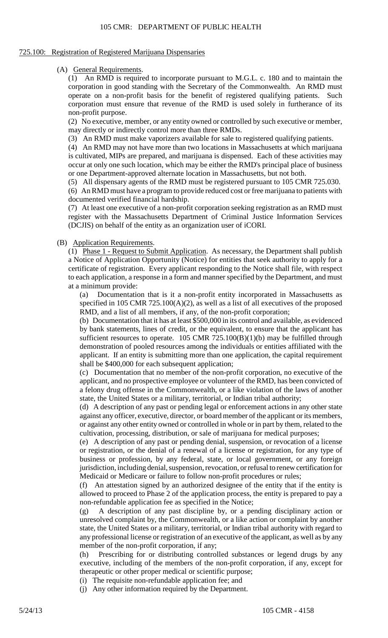#### 725.100: Registration of Registered Marijuana Dispensaries

#### (A) General Requirements.

(1) An RMD is required to incorporate pursuant to M.G.L. c. 180 and to maintain the corporation in good standing with the Secretary of the Commonwealth. An RMD must operate on a non-profit basis for the benefit of registered qualifying patients. Such corporation must ensure that revenue of the RMD is used solely in furtherance of its non-profit purpose.

(2) No executive, member, or any entity owned or controlled by such executive or member, may directly or indirectly control more than three RMDs.

(3) An RMD must make vaporizers available for sale to registered qualifying patients.

 occur at only one such location, which may be either the RMD's principal place of business (4) An RMD may not have more than two locations in Massachusetts at which marijuana is cultivated, MIPs are prepared, and marijuana is dispensed. Each of these activities may or one Department-approved alternate location in Massachusetts, but not both.

(5) All dispensary agents of the RMD must be registered pursuant to 105 CMR 725.030.

 (6) An RMD must have a program to provide reduced cost or free marijuana to patients with documented verified financial hardship.

 (7) At least one executive of a non-profit corporation seeking registration as an RMD must register with the Massachusetts Department of Criminal Justice Information Services (DCJIS) on behalf of the entity as an organization user of iCORI.

#### (B) Application Requirements.

 to each application, a response in a form and manner specified by the Department, and must (1) Phase 1 - Request to Submit Application. As necessary, the Department shall publish a Notice of Application Opportunity (Notice) for entities that seek authority to apply for a certificate of registration. Every applicant responding to the Notice shall file, with respect at a minimum provide:

(a) Documentation that is it a non-profit entity incorporated in Massachusetts as specified in 105 CMR 725.100(A)(2), as well as a list of all executives of the proposed RMD, and a list of all members, if any, of the non-profit corporation;

(b) Documentation that it has at least \$500,000 in its control and available, as evidenced by bank statements, lines of credit, or the equivalent, to ensure that the applicant has sufficient resources to operate.  $105$  CMR 725.100(B)(1)(b) may be fulfilled through demonstration of pooled resources among the individuals or entities affiliated with the applicant. If an entity is submitting more than one application, the capital requirement shall be \$400,000 for each subsequent application;

(c) Documentation that no member of the non-profit corporation, no executive of the applicant, and no prospective employee or volunteer of the RMD, has been convicted of a felony drug offense in the Commonwealth, or a like violation of the laws of another state, the United States or a military, territorial, or Indian tribal authority;

 (d) A description of any past or pending legal or enforcement actions in any other state against any officer, executive, director, or board member of the applicant or its members, or against any other entity owned or controlled in whole or in part by them, related to the cultivation, processing, distribution, or sale of marijuana for medical purposes;

 (e) A description of any past or pending denial, suspension, or revocation of a license or registration, or the denial of a renewal of a license or registration, for any type of business or profession, by any federal, state, or local government, or any foreign jurisdiction, including denial, suspension, revocation, or refusal to renew certification for Medicaid or Medicare or failure to follow non-profit procedures or rules;

(f) An attestation signed by an authorized designee of the entity that if the entity is allowed to proceed to Phase 2 of the application process, the entity is prepared to pay a non-refundable application fee as specified in the Notice;

 state, the United States or a military, territorial, or Indian tribal authority with regard to (g) A description of any past discipline by, or a pending disciplinary action or unresolved complaint by, the Commonwealth, or a like action or complaint by another any professional license or registration of an executive of the applicant, as well as by any member of the non-profit corporation, if any;

(h) Prescribing for or distributing controlled substances or legend drugs by any executive, including of the members of the non-profit corporation, if any, except for therapeutic or other proper medical or scientific purpose;

(i) The requisite non-refundable application fee; and

(j) Any other information required by the Department.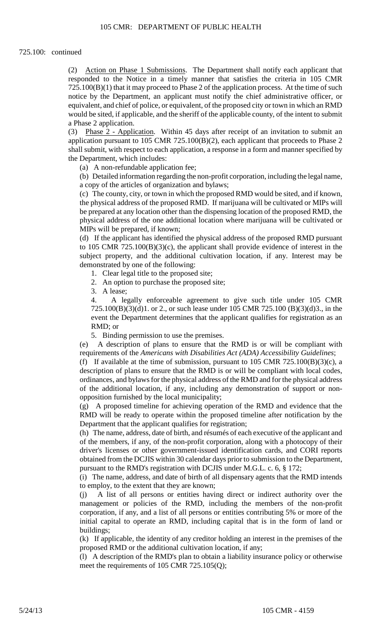responded to the Notice in a timely manner that satisfies the criteria in 105 CMR equivalent, and chief of police, or equivalent, of the proposed city or town in which an RMD would be sited, if applicable, and the sheriff of the applicable county, of the intent to submit (2) Action on Phase 1 Submissions. The Department shall notify each applicant that 725.100(B)(1) that it may proceed to Phase 2 of the application process. At the time of such notice by the Department, an applicant must notify the chief administrative officer, or a Phase 2 application.

 $(3)$ Phase 2 - Application. Within 45 days after receipt of an invitation to submit an application pursuant to 105 CMR 725.100(B)(2), each applicant that proceeds to Phase 2 shall submit, with respect to each application, a response in a form and manner specified by the Department, which includes:

(a) A non-refundable application fee;

(b) Detailed information regarding the non-profit corporation, including the legal name, a copy of the articles of organization and bylaws;

(c) The county, city, or town in which the proposed RMD would be sited, and if known, the physical address of the proposed RMD. If marijuana will be cultivated or MIPs will be prepared at any location other than the dispensing location of the proposed RMD, the physical address of the one additional location where marijuana will be cultivated or MIPs will be prepared, if known;

(d) If the applicant has identified the physical address of the proposed RMD pursuant to 105 CMR 725.100(B)(3)(c), the applicant shall provide evidence of interest in the subject property, and the additional cultivation location, if any. Interest may be demonstrated by one of the following:

- 1. Clear legal title to the proposed site;
- 2. An option to purchase the proposed site;

3. A lease;

4. A legally enforceable agreement to give such title under 105 CMR 725.100(B)(3)(d)1. or 2., or such lease under 105 CMR 725.100 (B)(3)(d)3., in the event the Department determines that the applicant qualifies for registration as an RMD; or

5. Binding permission to use the premises.

(e) A description of plans to ensure that the RMD is or will be compliant with requirements of the *Americans with Disabilities Act (ADA) Accessibility Guidelines*;

 ordinances, and bylaws for the physical address of the RMD and for the physical address (f) If available at the time of submission, pursuant to  $105$  CMR  $725.100(B)(3)(c)$ , a description of plans to ensure that the RMD is or will be compliant with local codes, of the additional location, if any, including any demonstration of support or nonopposition furnished by the local municipality;

(g) A proposed timeline for achieving operation of the RMD and evidence that the RMD will be ready to operate within the proposed timeline after notification by the Department that the applicant qualifies for registration;

(h) The name, address, date of birth, and résumés of each executive of the applicant and of the members, if any, of the non-profit corporation, along with a photocopy of their driver's licenses or other government-issued identification cards, and CORI reports obtained from the DCJIS within 30 calendar days prior to submission to the Department, pursuant to the RMD's registration with DCJIS under M.G.L. c. 6, § 172;

(i) The name, address, and date of birth of all dispensary agents that the RMD intends to employ, to the extent that they are known;

 $(i)$  corporation, if any, and a list of all persons or entities contributing 5% or more of the initial capital to operate an RMD, including capital that is in the form of land or A list of all persons or entities having direct or indirect authority over the management or policies of the RMD, including the members of the non-profit buildings;

(k) If applicable, the identity of any creditor holding an interest in the premises of the proposed RMD or the additional cultivation location, if any;

(l) A description of the RMD's plan to obtain a liability insurance policy or otherwise meet the requirements of 105 CMR 725.105(Q);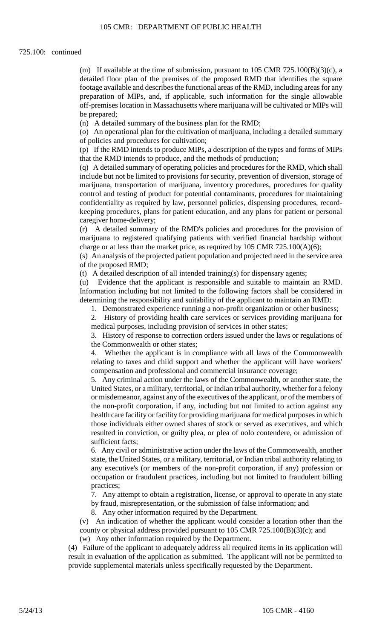(m) If available at the time of submission, pursuant to  $105$  CMR  $725.100(B)(3)(c)$ , a detailed floor plan of the premises of the proposed RMD that identifies the square footage available and describes the functional areas of the RMD, including areas for any preparation of MIPs, and, if applicable, such information for the single allowable off-premises location in Massachusetts where marijuana will be cultivated or MIPs will be prepared;

(n) A detailed summary of the business plan for the RMD;

(o) An operational plan for the cultivation of marijuana, including a detailed summary of policies and procedures for cultivation;

 (p) If the RMD intends to produce MIPs, a description of the types and forms of MIPs that the RMD intends to produce, and the methods of production;

 (q) A detailed summary of operating policies and procedures for the RMD, which shall include but not be limited to provisions for security, prevention of diversion, storage of marijuana, transportation of marijuana, inventory procedures, procedures for quality control and testing of product for potential contaminants, procedures for maintaining confidentiality as required by law, personnel policies, dispensing procedures, recordkeeping procedures, plans for patient education, and any plans for patient or personal caregiver home-delivery;

(r) A detailed summary of the RMD's policies and procedures for the provision of marijuana to registered qualifying patients with verified financial hardship without charge or at less than the market price, as required by  $105$  CMR  $725.100(A)(6)$ ;

(s) An analysis of the projected patient population and projected need in the service area of the proposed RMD;

(t) A detailed description of all intended training(s) for dispensary agents;

 determining the responsibility and suitability of the applicant to maintain an RMD: (u) Evidence that the applicant is responsible and suitable to maintain an RMD. Information including but not limited to the following factors shall be considered in

1. Demonstrated experience running a non-profit organization or other business;

2. History of providing health care services or services providing marijuana for medical purposes, including provision of services in other states;

3. History of response to correction orders issued under the laws or regulations of the Commonwealth or other states;

 $\mathbf{4}$ . Whether the applicant is in compliance with all laws of the Commonwealth relating to taxes and child support and whether the applicant will have workers' compensation and professional and commercial insurance coverage;

 5. Any criminal action under the laws of the Commonwealth, or another state, the health care facility or facility for providing marijuana for medical purposes in which United States, or a military, territorial, or Indian tribal authority, whether for a felony or misdemeanor, against any of the executives of the applicant, or of the members of the non-profit corporation, if any, including but not limited to action against any those individuals either owned shares of stock or served as executives, and which resulted in conviction, or guilty plea, or plea of nolo contendere, or admission of sufficient facts;

 state, the United States, or a military, territorial, or Indian tribal authority relating to 6. Any civil or administrative action under the laws of the Commonwealth, another any executive's (or members of the non-profit corporation, if any) profession or occupation or fraudulent practices, including but not limited to fraudulent billing practices;

7. Any attempt to obtain a registration, license, or approval to operate in any state by fraud, misrepresentation, or the submission of false information; and

8. Any other information required by the Department.

(v) An indication of whether the applicant would consider a location other than the county or physical address provided pursuant to 105 CMR 725.100(B)(3)(c); and (w) Any other information required by the Department.

 result in evaluation of the application as submitted. The applicant will not be permitted to (4) Failure of the applicant to adequately address all required items in its application will provide supplemental materials unless specifically requested by the Department.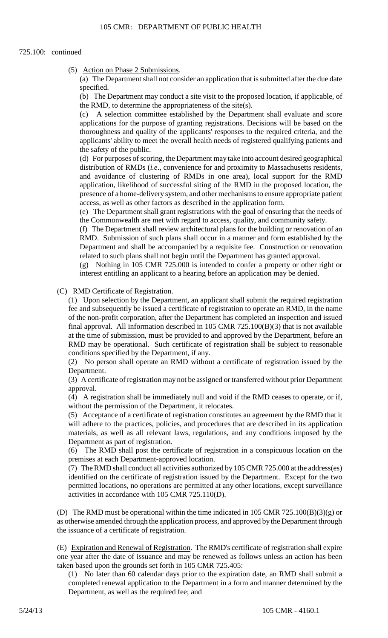(5) Action on Phase 2 Submissions.

(a) The Department shall not consider an application that is submitted after the due date specified.

 (b) The Department may conduct a site visit to the proposed location, if applicable, of the RMD, to determine the appropriateness of the site(s).

(c) A selection committee established by the Department shall evaluate and score applications for the purpose of granting registrations. Decisions will be based on the thoroughness and quality of the applicants' responses to the required criteria, and the applicants' ability to meet the overall health needs of registered qualifying patients and the safety of the public.

(d) For purposes of scoring, the Department may take into account desired geographical distribution of RMDs (*i.e*., convenience for and proximity to Massachusetts residents, and avoidance of clustering of RMDs in one area), local support for the RMD application, likelihood of successful siting of the RMD in the proposed location, the presence of a home-delivery system, and other mechanisms to ensure appropriate patient access, as well as other factors as described in the application form.

(e) The Department shall grant registrations with the goal of ensuring that the needs of the Commonwealth are met with regard to access, quality, and community safety.

(f) The Department shall review architectural plans for the building or renovation of an RMD. Submission of such plans shall occur in a manner and form established by the Department and shall be accompanied by a requisite fee. Construction or renovation related to such plans shall not begin until the Department has granted approval.

 (g) Nothing in 105 CMR 725.000 is intended to confer a property or other right or interest entitling an applicant to a hearing before an application may be denied.

#### (C) RMD Certificate of Registration.

(1) Upon selection by the Department, an applicant shall submit the required registration fee and subsequently be issued a certificate of registration to operate an RMD, in the name of the non-profit corporation, after the Department has completed an inspection and issued final approval. All information described in 105 CMR 725.100(B)(3) that is not available at the time of submission, must be provided to and approved by the Department, before an RMD may be operational. Such certificate of registration shall be subject to reasonable conditions specified by the Department, if any.

(2) No person shall operate an RMD without a certificate of registration issued by the Department.

 (3) A certificate of registration may not be assigned or transferred without prior Department approval.

 (4) A registration shall be immediately null and void if the RMD ceases to operate, or if, without the permission of the Department, it relocates.

 (5) Acceptance of a certificate of registration constitutes an agreement by the RMD that it will adhere to the practices, policies, and procedures that are described in its application materials, as well as all relevant laws, regulations, and any conditions imposed by the Department as part of registration.

(6) The RMD shall post the certificate of registration in a conspicuous location on the premises at each Department-approved location.

 (7) The RMD shall conduct all activities authorized by 105 CMR 725.000 at the address(es) identified on the certificate of registration issued by the Department. Except for the two permitted locations, no operations are permitted at any other locations, except surveillance activities in accordance with 105 CMR 725.110(D).

(D) The RMD must be operational within the time indicated in 105 CMR 725.100(B)(3)(g) or as otherwise amended through the application process, and approved by the Department through the issuance of a certificate of registration.

(E) Expiration and Renewal of Registration. The RMD's certificate of registration shall expire one year after the date of issuance and may be renewed as follows unless an action has been taken based upon the grounds set forth in 105 CMR 725.405:

(1) No later than 60 calendar days prior to the expiration date, an RMD shall submit a completed renewal application to the Department in a form and manner determined by the Department, as well as the required fee; and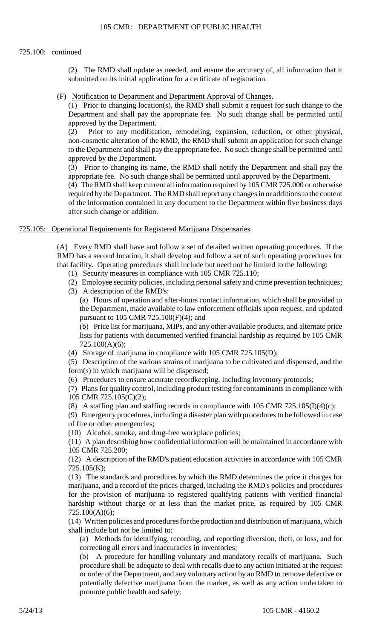#### 725.100: continued

(2) The RMD shall update as needed, and ensure the accuracy of, all information that it submitted on its initial application for a certificate of registration.

## (F) Notification to Department and Department Approval of Changes.

(1) Prior to changing location(s), the RMD shall submit a request for such change to the Department and shall pay the appropriate fee. No such change shall be permitted until approved by the Department.

 to the Department and shall pay the appropriate fee. No such change shall be permitted until (2) Prior to any modification, remodeling, expansion, reduction, or other physical, non-cosmetic alteration of the RMD, the RMD shall submit an application for such change approved by the Department.

(3) Prior to changing its name, the RMD shall notify the Department and shall pay the appropriate fee. No such change shall be permitted until approved by the Department.

 of the information contained in any document to the Department within five business days (4) The RMD shall keep current all information required by 105 CMR 725.000 or otherwise required by the Department. The RMD shall report any changes in or additions to the content after such change or addition.

#### 725.105: Operational Requirements for Registered Marijuana Dispensaries

(A) Every RMD shall have and follow a set of detailed written operating procedures. If the RMD has a second location, it shall develop and follow a set of such operating procedures for that facility. Operating procedures shall include but need not be limited to the following:

- (1) Security measures in compliance with 105 CMR 725.110;
- (2) Employee security policies, including personal safety and crime prevention techniques;
- (3) A description of the RMD's:

(a) Hours of operation and after-hours contact information, which shall be provided to the Department, made available to law enforcement officials upon request, and updated pursuant to 105 CMR 725.100(F)(4); and

(b) Price list for marijuana, MIPs, and any other available products, and alternate price lists for patients with documented verified financial hardship as required by 105 CMR 725.100(A)(6);

(4) Storage of marijuana in compliance with 105 CMR 725.105(D);

(5) Description of the various strains of marijuana to be cultivated and dispensed, and the form(s) in which marijuana will be dispensed;

(6) Procedures to ensure accurate recordkeeping, including inventory protocols;

 (7) Plans for quality control, including product testing for contaminants in compliance with 105 CMR 725.105(C)(2);

(8) A staffing plan and staffing records in compliance with  $105$  CMR  $725.105(I)(4)(c)$ ;

(9) Emergency procedures, including a disaster plan with procedures to be followed in case of fire or other emergencies;

(10) Alcohol, smoke, and drug-free workplace policies;

(11) A plan describing how confidential information will be maintained in accordance with 105 CMR 725.200;

(12) A description of the RMD's patient education activities in accordance with 105 CMR 725.105(K);

(13) The standards and procedures by which the RMD determines the price it charges for marijuana, and a record of the prices charged, including the RMD's policies and procedures for the provision of marijuana to registered qualifying patients with verified financial hardship without charge or at less than the market price, as required by 105 CMR 725.100(A)(6);

(14) Written policies and procedures for the production and distribution of marijuana, which shall include but not be limited to:

 (a) Methods for identifying, recording, and reporting diversion, theft, or loss, and for correcting all errors and inaccuracies in inventories;

 procedure shall be adequate to deal with recalls due to any action initiated at the request or order of the Department, and any voluntary action by an RMD to remove defective or (b) A procedure for handling voluntary and mandatory recalls of marijuana. Such potentially defective marijuana from the market, as well as any action undertaken to promote public health and safety;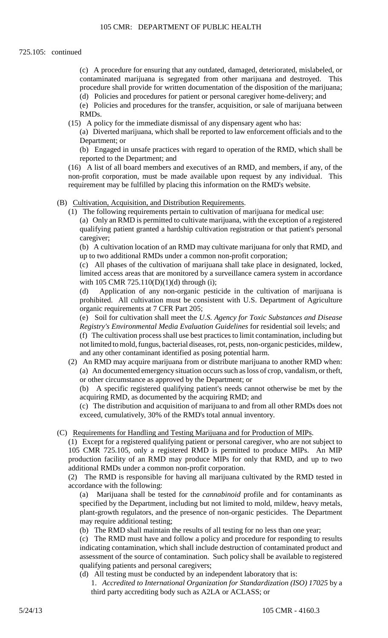(c) A procedure for ensuring that any outdated, damaged, deteriorated, mislabeled, or contaminated marijuana is segregated from other marijuana and destroyed. This procedure shall provide for written documentation of the disposition of the marijuana; (d) Policies and procedures for patient or personal caregiver home-delivery; and

 (e) Policies and procedures for the transfer, acquisition, or sale of marijuana between RMDs.

(15) A policy for the immediate dismissal of any dispensary agent who has:

(a) Diverted marijuana, which shall be reported to law enforcement officials and to the Department; or

 (b) Engaged in unsafe practices with regard to operation of the RMD, which shall be reported to the Department; and

 non-profit corporation, must be made available upon request by any individual. This (16) A list of all board members and executives of an RMD, and members, if any, of the requirement may be fulfilled by placing this information on the RMD's website.

#### (B) Cultivation, Acquisition, and Distribution Requirements.

(1) The following requirements pertain to cultivation of marijuana for medical use:

 (a) Only an RMD is permitted to cultivate marijuana, with the exception of a registered qualifying patient granted a hardship cultivation registration or that patient's personal caregiver;

(b) A cultivation location of an RMD may cultivate marijuana for only that RMD, and up to two additional RMDs under a common non-profit corporation;

 (c) All phases of the cultivation of marijuana shall take place in designated, locked, limited access areas that are monitored by a surveillance camera system in accordance with 105 CMR 725.110(D)(1)(d) through (i);

(d) Application of any non-organic pesticide in the cultivation of marijuana is prohibited. All cultivation must be consistent with U.S. Department of Agriculture organic requirements at 7 CFR Part 205;

 (e) Soil for cultivation shall meet the *U.S. Agency for Toxic Substances and Disease Registry's Environmental Media Evaluation Guidelines* for residential soil levels; and (f) The cultivation process shall use best practices to limit contamination, including but

not limited to mold, fungus, bacterial diseases, rot, pests, non-organic pesticides, mildew, and any other contaminant identified as posing potential harm.

 (a) An documented emergency situation occurs such as loss of crop, vandalism, or theft, (2) An RMD may acquire marijuana from or distribute marijuana to another RMD when: or other circumstance as approved by the Department; or

(b) A specific registered qualifying patient's needs cannot otherwise be met by the acquiring RMD, as documented by the acquiring RMD; and

(c) The distribution and acquisition of marijuana to and from all other RMDs does not exceed, cumulatively, 30% of the RMD's total annual inventory.

(C) Requirements for Handling and Testing Marijuana and for Production of MIPs.

 (1) Except for a registered qualifying patient or personal caregiver, who are not subject to 105 CMR 725.105, only a registered RMD is permitted to produce MIPs. An MIP production facility of an RMD may produce MIPs for only that RMD, and up to two additional RMDs under a common non-profit corporation.

(2) The RMD is responsible for having all marijuana cultivated by the RMD tested in accordance with the following:

(a) Marijuana shall be tested for the *cannabinoid* profile and for contaminants as specified by the Department, including but not limited to mold, mildew, heavy metals, plant-growth regulators, and the presence of non-organic pesticides. The Department may require additional testing;

(b) The RMD shall maintain the results of all testing for no less than one year;

 (c) The RMD must have and follow a policy and procedure for responding to results indicating contamination, which shall include destruction of contaminated product and assessment of the source of contamination. Such policy shall be available to registered qualifying patients and personal caregivers;

(d) All testing must be conducted by an independent laboratory that is:

1. *Accredited to International Organization for Standardization (ISO) 17025* by a third party accrediting body such as A2LA or ACLASS; or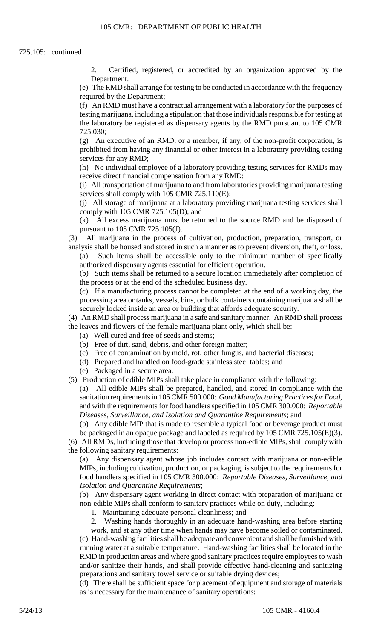2. Certified, registered, or accredited by an organization approved by the Department.

(e) The RMD shall arrange for testing to be conducted in accordance with the frequency required by the Department;

(f) An RMD must have a contractual arrangement with a laboratory for the purposes of testing marijuana, including a stipulation that those individuals responsible for testing at the laboratory be registered as dispensary agents by the RMD pursuant to 105 CMR 725.030;

(g) An executive of an RMD, or a member, if any, of the non-profit corporation, is prohibited from having any financial or other interest in a laboratory providing testing services for any RMD;

(h) No individual employee of a laboratory providing testing services for RMDs may receive direct financial compensation from any RMD;

 (i) All transportation of marijuana to and from laboratories providing marijuana testing services shall comply with 105 CMR 725.110(E);

(j) All storage of marijuana at a laboratory providing marijuana testing services shall comply with 105 CMR 725.105(D); and

(k) All excess marijuana must be returned to the source RMD and be disposed of pursuant to 105 CMR 725.105(J).

(3) All marijuana in the process of cultivation, production, preparation, transport, or analysis shall be housed and stored in such a manner as to prevent diversion, theft, or loss.

(a) Such items shall be accessible only to the minimum number of specifically authorized dispensary agents essential for efficient operation.

(b) Such items shall be returned to a secure location immediately after completion of the process or at the end of the scheduled business day.

(c) If a manufacturing process cannot be completed at the end of a working day, the processing area or tanks, vessels, bins, or bulk containers containing marijuana shall be securely locked inside an area or building that affords adequate security.

- (4) An RMD shall process marijuana in a safe and sanitary manner. An RMD shall process the leaves and flowers of the female marijuana plant only, which shall be:
	- (a) Well cured and free of seeds and stems;
	- (b) Free of dirt, sand, debris, and other foreign matter;
	- (c) Free of contamination by mold, rot, other fungus, and bacterial diseases;
	- (d) Prepared and handled on food-grade stainless steel tables; and
	- (e) Packaged in a secure area.
- (5) Production of edible MIPs shall take place in compliance with the following:

(a) All edible MIPs shall be prepared, handled, and stored in compliance with the sanitation requirements in 105 CMR 500.000: *Good Manufacturing Practices for Food*, and with the requirements for food handlers specified in 105 CMR 300.000: *Reportable Diseases, Surveillance, and Isolation and Quarantine Requirements*; and

 (b) Any edible MIP that is made to resemble a typical food or beverage product must be packaged in an opaque package and labeled as required by 105 CMR 725.105(E)(3).

- (6) All RMDs, including those that develop or process non-edible MIPs, shall comply with
- the following sanitary requirements:

(a) Any dispensary agent whose job includes contact with marijuana or non-edible MIPs, including cultivation, production, or packaging, is subject to the requirements for food handlers specified in 105 CMR 300.000: *Reportable Diseases, Surveillance, and Isolation and Quarantine Requirements*;

(b) Any dispensary agent working in direct contact with preparation of marijuana or non-edible MIPs shall conform to sanitary practices while on duty, including:

1. Maintaining adequate personal cleanliness; and

2. Washing hands thoroughly in an adequate hand-washing area before starting

 (c) Hand-washing facilities shall be adequate and convenient and shall be furnished with running water at a suitable temperature. Hand-washing facilities shall be located in the work, and at any other time when hands may have become soiled or contaminated. RMD in production areas and where good sanitary practices require employees to wash and/or sanitize their hands, and shall provide effective hand-cleaning and sanitizing preparations and sanitary towel service or suitable drying devices;

(d) There shall be sufficient space for placement of equipment and storage of materials as is necessary for the maintenance of sanitary operations;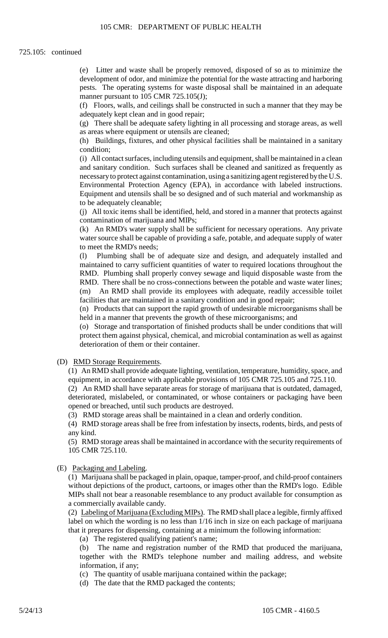(e) Litter and waste shall be properly removed, disposed of so as to minimize the development of odor, and minimize the potential for the waste attracting and harboring pests. The operating systems for waste disposal shall be maintained in an adequate manner pursuant to 105 CMR 725.105(J);

 (f) Floors, walls, and ceilings shall be constructed in such a manner that they may be adequately kept clean and in good repair;

 (g) There shall be adequate safety lighting in all processing and storage areas, as well as areas where equipment or utensils are cleaned;

(h) Buildings, fixtures, and other physical facilities shall be maintained in a sanitary condition;

(i) All contact surfaces, including utensils and equipment, shall be maintained in a clean and sanitary condition. Such surfaces shall be cleaned and sanitized as frequently as necessary to protect against contamination, using a sanitizing agent registered by the U.S. Environmental Protection Agency (EPA), in accordance with labeled instructions. Equipment and utensils shall be so designed and of such material and workmanship as to be adequately cleanable;

 (j) All toxic items shall be identified, held, and stored in a manner that protects against contamination of marijuana and MIPs;

 water source shall be capable of providing a safe, potable, and adequate supply of water (k) An RMD's water supply shall be sufficient for necessary operations. Any private to meet the RMD's needs;

(l) Plumbing shall be of adequate size and design, and adequately installed and maintained to carry sufficient quantities of water to required locations throughout the RMD. Plumbing shall properly convey sewage and liquid disposable waste from the RMD. There shall be no cross-connections between the potable and waste water lines; (m) An RMD shall provide its employees with adequate, readily accessible toilet facilities that are maintained in a sanitary condition and in good repair;

(n) Products that can support the rapid growth of undesirable microorganisms shall be held in a manner that prevents the growth of these microorganisms; and

(o) Storage and transportation of finished products shall be under conditions that will protect them against physical, chemical, and microbial contamination as well as against deterioration of them or their container.

## (D) RMD Storage Requirements.

(1) An RMD shall provide adequate lighting, ventilation, temperature, humidity, space, and equipment, in accordance with applicable provisions of 105 CMR 725.105 and 725.110.

(2) An RMD shall have separate areas for storage of marijuana that is outdated, damaged, deteriorated, mislabeled, or contaminated, or whose containers or packaging have been opened or breached, until such products are destroyed.

(3) RMD storage areas shall be maintained in a clean and orderly condition.

(4) RMD storage areas shall be free from infestation by insects, rodents, birds, and pests of any kind.

(5) RMD storage areas shall be maintained in accordance with the security requirements of 105 CMR 725.110.

## (E) Packaging and Labeling.

(1) Marijuana shall be packaged in plain, opaque, tamper-proof, and child-proof containers without depictions of the product, cartoons, or images other than the RMD's logo. Edible MIPs shall not bear a reasonable resemblance to any product available for consumption as a commercially available candy.

(2) Labeling of Marijuana (Excluding MIPs). The RMD shall place a legible, firmly affixed label on which the wording is no less than 1/16 inch in size on each package of marijuana that it prepares for dispensing, containing at a minimum the following information:

(a) The registered qualifying patient's name;

(b) The name and registration number of the RMD that produced the marijuana, together with the RMD's telephone number and mailing address, and website information, if any;

(c) The quantity of usable marijuana contained within the package;

(d) The date that the RMD packaged the contents;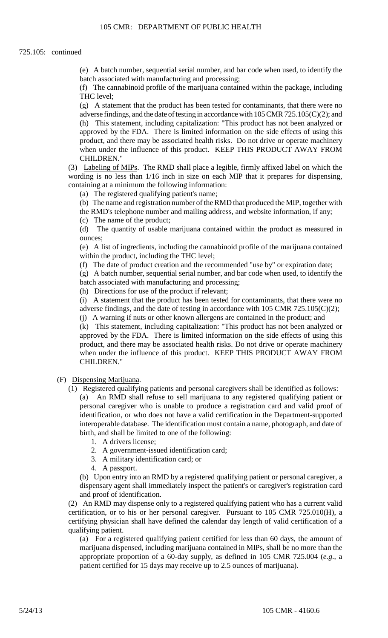(e) A batch number, sequential serial number, and bar code when used, to identify the batch associated with manufacturing and processing;

(f) The cannabinoid profile of the marijuana contained within the package, including THC level;

 approved by the FDA. There is limited information on the side effects of using this when under the influence of this product. KEEP THIS PRODUCT AWAY FROM (g) A statement that the product has been tested for contaminants, that there were no adverse findings, and the date of testing in accordance with 105 CMR 725.105(C)(2); and (h) This statement, including capitalization: "This product has not been analyzed or product, and there may be associated health risks. Do not drive or operate machinery CHILDREN."

 (3) Labeling of MIPs. The RMD shall place a legible, firmly affixed label on which the wording is no less than 1/16 inch in size on each MIP that it prepares for dispensing, containing at a minimum the following information:

(a) The registered qualifying patient's name;

(b) The name and registration number of the RMD that produced the MIP, together with

- the RMD's telephone number and mailing address, and website information, if any;
- (c) The name of the product;

(d) The quantity of usable marijuana contained within the product as measured in ounces;

(e) A list of ingredients, including the cannabinoid profile of the marijuana contained within the product, including the THC level;

(f) The date of product creation and the recommended "use by" or expiration date;

(g) A batch number, sequential serial number, and bar code when used, to identify the batch associated with manufacturing and processing;

(h) Directions for use of the product if relevant;

(i) A statement that the product has been tested for contaminants, that there were no adverse findings, and the date of testing in accordance with 105 CMR 725.105(C)(2);

(j) A warning if nuts or other known allergens are contained in the product; and

 product, and there may be associated health risks. Do not drive or operate machinery (k) This statement, including capitalization: "This product has not been analyzed or approved by the FDA. There is limited information on the side effects of using this when under the influence of this product. KEEP THIS PRODUCT AWAY FROM CHILDREN."

#### (F) Dispensing Marijuana.

- personal caregiver who is unable to produce a registration card and valid proof of (1) Registered qualifying patients and personal caregivers shall be identified as follows: (a) An RMD shall refuse to sell marijuana to any registered qualifying patient or identification, or who does not have a valid certification in the Department-supported interoperable database. The identification must contain a name, photograph, and date of
	- birth, and shall be limited to one of the following:
		- 1. A drivers license;
		- 2. A government-issued identification card;
		- 3. A military identification card; or
		- 4. A passport.

(b) Upon entry into an RMD by a registered qualifying patient or personal caregiver, a dispensary agent shall immediately inspect the patient's or caregiver's registration card and proof of identification.

 certification, or to his or her personal caregiver. Pursuant to 105 CMR 725.010(H), a (2) An RMD may dispense only to a registered qualifying patient who has a current valid certifying physician shall have defined the calendar day length of valid certification of a qualifying patient.

 (a) For a registered qualifying patient certified for less than 60 days, the amount of marijuana dispensed, including marijuana contained in MIPs, shall be no more than the appropriate proportion of a 60-day supply, as defined in 105 CMR 725.004 (*e.g*., a patient certified for 15 days may receive up to 2.5 ounces of marijuana).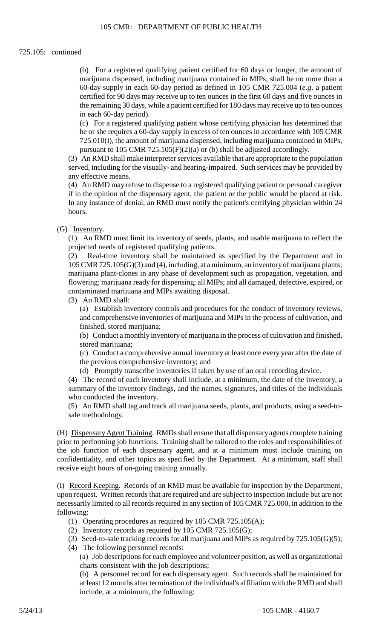60-day supply in each 60-day period as defined in 105 CMR 725.004 (*e.g*. a patient (b) For a registered qualifying patient certified for 60 days or longer, the amount of marijuana dispensed, including marijuana contained in MIPs, shall be no more than a certified for 90 days may receive up to ten ounces in the first 60 days and five ounces in the remaining 30 days, while a patient certified for 180 days may receive up to ten ounces in each 60-day period).

 he or she requires a 60-day supply in excess of ten ounces in accordance with 105 CMR (c) For a registered qualifying patient whose certifying physician has determined that 725.010(I), the amount of marijuana dispensed, including marijuana contained in MIPs, pursuant to 105 CMR 725.105(F)(2)(a) or (b) shall be adjusted accordingly.

 (3) An RMD shall make interpreter services available that are appropriate to the population served, including for the visually- and hearing-impaired. Such services may be provided by any effective means.

(4) An RMD may refuse to dispense to a registered qualifying patient or personal caregiver if in the opinion of the dispensary agent, the patient or the public would be placed at risk. In any instance of denial, an RMD must notify the patient's certifying physician within 24 hours.

## (G) Inventory.

(1) An RMD must limit its inventory of seeds, plants, and usable marijuana to reflect the projected needs of registered qualifying patients.

(2) Real-time inventory shall be maintained as specified by the Department and in 105 CMR 725.105(G)(3) and (4), including, at a minimum, an inventory of marijuana plants; marijuana plant-clones in any phase of development such as propagation, vegetation, and flowering; marijuana ready for dispensing; all MIPs; and all damaged, defective, expired, or contaminated marijuana and MIPs awaiting disposal.

(3) An RMD shall:

(a) Establish inventory controls and procedures for the conduct of inventory reviews, and comprehensive inventories of marijuana and MIPs in the process of cultivation, and finished, stored marijuana;

 (b) Conduct a monthly inventory of marijuana in the process of cultivation and finished, stored marijuana;

(c) Conduct a comprehensive annual inventory at least once every year after the date of the previous comprehensive inventory; and

(d) Promptly transcribe inventories if taken by use of an oral recording device.

 summary of the inventory findings, and the names, signatures, and titles of the individuals (4) The record of each inventory shall include, at a minimum, the date of the inventory, a who conducted the inventory.

(5) An RMD shall tag and track all marijuana seeds, plants, and products, using a seed-tosale methodology.

(H) Dispensary Agent Training. RMDs shall ensure that all dispensaryagents complete training prior to performing job functions. Training shall be tailored to the roles and responsibilities of the job function of each dispensary agent, and at a minimum must include training on confidentiality, and other topics as specified by the Department. At a minimum, staff shall receive eight hours of on-going training annually.

(I) Record Keeping. Records of an RMD must be available for inspection by the Department, upon request. Written records that are required and are subject to inspection include but are not necessarily limited to all records required in any section of 105 CMR 725.000, in addition to the following:

- (1) Operating procedures as required by 105 CMR 725.105(A);
- (2) Inventory records as required by 105 CMR 725.105(G);
- (3) Seed-to-sale tracking records for all marijuana and MIPs as required by 725.105(G)(5); (4) The following personnel records:

 (a) Job descriptions for each employee and volunteer position, as well as organizational charts consistent with the job descriptions;

 (b) A personnel record for each dispensary agent. Such records shall be maintained for at least 12 months after termination of the individual's affiliation with the RMD and shall include, at a minimum, the following: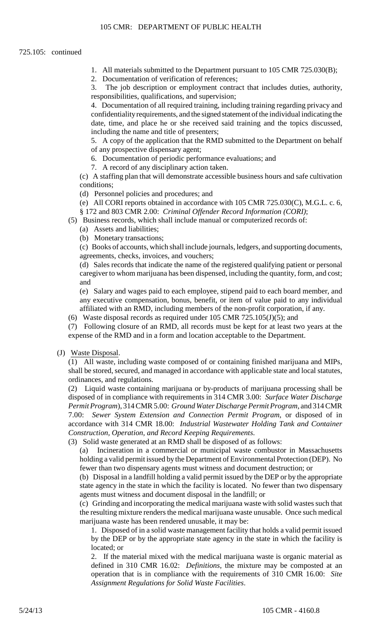- 1. All materials submitted to the Department pursuant to 105 CMR 725.030(B);
- 2. Documentation of verification of references;

3. The job description or employment contract that includes duties, authority, responsibilities, qualifications, and supervision;

 4. Documentation of all required training, including training regarding privacy and confidentiality requirements, and the signed statement of the individual indicating the date, time, and place he or she received said training and the topics discussed, including the name and title of presenters;

5. A copy of the application that the RMD submitted to the Department on behalf of any prospective dispensary agent;

- 6. Documentation of periodic performance evaluations; and
- 7. A record of any disciplinary action taken.

 (c) A staffing plan that will demonstrate accessible business hours and safe cultivation conditions;

(d) Personnel policies and procedures; and

(e) All CORI reports obtained in accordance with 105 CMR 725.030(C), M.G.L. c. 6,

- § 172 and 803 CMR 2.00: *Criminal Offender Record Information (CORI)*;
- (5) Business records, which shall include manual or computerized records of:
	- (a) Assets and liabilities;
	- (b) Monetary transactions;

 (c) Books of accounts, which shall include journals, ledgers, and supporting documents, agreements, checks, invoices, and vouchers;

(d) Sales records that indicate the name of the registered qualifying patient or personal caregiver to whom marijuana has been dispensed, including the quantity, form, and cost; and

(e) Salary and wages paid to each employee, stipend paid to each board member, and any executive compensation, bonus, benefit, or item of value paid to any individual affiliated with an RMD, including members of the non-profit corporation, if any.

(6) Waste disposal records as required under 105 CMR 725.105(J)(5); and

 (7) Following closure of an RMD, all records must be kept for at least two years at the expense of the RMD and in a form and location acceptable to the Department.

#### (J) Waste Disposal.

 (1) All waste, including waste composed of or containing finished marijuana and MIPs, shall be stored, secured, and managed in accordance with applicable state and local statutes, ordinances, and regulations.

 (2) Liquid waste containing marijuana or by-products of marijuana processing shall be disposed of in compliance with requirements in 314 CMR 3.00: *Surface Water Discharge Permit Program*), 314 CMR 5.00: *Ground Water Discharge Permit Program*, and 314 CMR 7.00: *Sewer System Extension and Connection Permit Program*, or disposed of in accordance with 314 CMR 18.00: *Industrial Wastewater Holding Tank and Container Construction, Operation, and Record Keeping Requirements*.

(3) Solid waste generated at an RMD shall be disposed of as follows:

(a) Incineration in a commercial or municipal waste combustor in Massachusetts holding a valid permit issued by the Department of Environmental Protection (DEP). No fewer than two dispensary agents must witness and document destruction; or

 (b) Disposal in a landfill holding a valid permit issued by the DEP or by the appropriate state agency in the state in which the facility is located. No fewer than two dispensary agents must witness and document disposal in the landfill; or

(c) Grinding and incorporating the medical marijuana waste with solid wastes such that the resulting mixture renders the medical marijuana waste unusable. Once such medical marijuana waste has been rendered unusable, it may be:

 1. Disposed of in a solid waste management facility that holds a valid permit issued by the DEP or by the appropriate state agency in the state in which the facility is located; or

 operation that is in compliance with the requirements of 310 CMR 16.00: *Site*  2. If the material mixed with the medical marijuana waste is organic material as defined in 310 CMR 16.02: *Definitions*, the mixture may be composted at an *Assignment Regulations for Solid Waste Facilities*.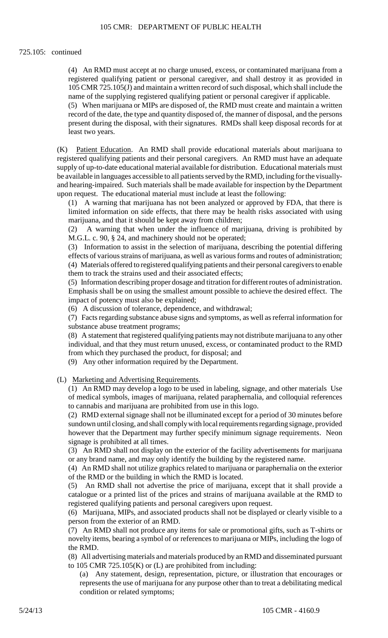#### 725.105: continued

(4) An RMD must accept at no charge unused, excess, or contaminated marijuana from a registered qualifying patient or personal caregiver, and shall destroy it as provided in 105 CMR 725.105(J) and maintain a written record of such disposal, which shall include the name of the supplying registered qualifying patient or personal caregiver if applicable.

(5) When marijuana or MIPs are disposed of, the RMD must create and maintain a written record of the date, the type and quantity disposed of, the manner of disposal, and the persons present during the disposal, with their signatures. RMDs shall keep disposal records for at least two years.

 be available in languages accessible to all patients served by the RMD, including for the visually-(K) Patient Education. An RMD shall provide educational materials about marijuana to registered qualifying patients and their personal caregivers. An RMD must have an adequate supply of up-to-date educational material available for distribution. Educational materials must and hearing-impaired. Such materials shall be made available for inspection by the Department upon request. The educational material must include at least the following:

(1) A warning that marijuana has not been analyzed or approved by FDA, that there is limited information on side effects, that there may be health risks associated with using marijuana, and that it should be kept away from children;

(2) A warning that when under the influence of marijuana, driving is prohibited by M.G.L. c. 90, § 24, and machinery should not be operated;

 (3) Information to assist in the selection of marijuana, describing the potential differing effects of various strains of marijuana, as well as various forms and routes of administration; (4) Materials offered to registered qualifying patients and their personal caregivers to enable them to track the strains used and their associated effects;

(5) Information describing proper dosage and titration for different routes of administration. Emphasis shall be on using the smallest amount possible to achieve the desired effect. The impact of potency must also be explained;

(6) A discussion of tolerance, dependence, and withdrawal;

(7) Facts regarding substance abuse signs and symptoms, as well as referral information for substance abuse treatment programs;

(8) A statement that registered qualifying patients may not distribute marijuana to any other individual, and that they must return unused, excess, or contaminated product to the RMD from which they purchased the product, for disposal; and

(9) Any other information required by the Department.

(L) Marketing and Advertising Requirements.

 (1) An RMD may develop a logo to be used in labeling, signage, and other materials Use of medical symbols, images of marijuana, related paraphernalia, and colloquial references to cannabis and marijuana are prohibited from use in this logo.

 (2) RMD external signage shall not be illuminated except for a period of 30 minutes before sundown until closing, and shall comply with local requirements regarding signage, provided however that the Department may further specify minimum signage requirements. Neon signage is prohibited at all times.

(3) An RMD shall not display on the exterior of the facility advertisements for marijuana or any brand name, and may only identify the building by the registered name.

(4) An RMD shall not utilize graphics related to marijuana or paraphernalia on the exterior of the RMD or the building in which the RMD is located.

 (5) An RMD shall not advertise the price of marijuana, except that it shall provide a catalogue or a printed list of the prices and strains of marijuana available at the RMD to registered qualifying patients and personal caregivers upon request.

(6) Marijuana, MIPs, and associated products shall not be displayed or clearly visible to a person from the exterior of an RMD.

(7) An RMD shall not produce any items for sale or promotional gifts, such as T-shirts or novelty items, bearing a symbol of or references to marijuana or MIPs, including the logo of the RMD.

(8) All advertising materials and materials produced by an RMD and disseminated pursuant to 105 CMR 725.105(K) or (L) are prohibited from including:

(a) Any statement, design, representation, picture, or illustration that encourages or represents the use of marijuana for any purpose other than to treat a debilitating medical condition or related symptoms;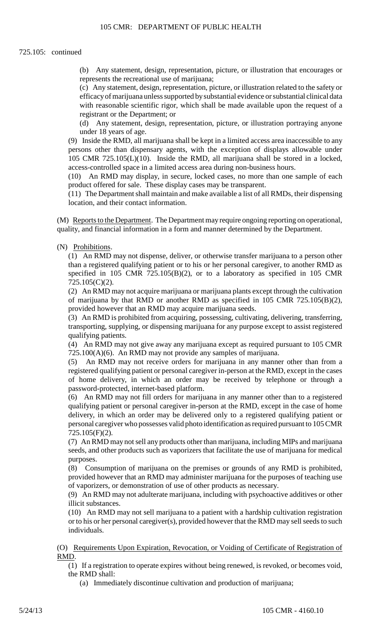(b) Any statement, design, representation, picture, or illustration that encourages or represents the recreational use of marijuana;

(c) Any statement, design, representation, picture, or illustration related to the safety or efficacy of marijuana unless supported by substantial evidence or substantial clinical data with reasonable scientific rigor, which shall be made available upon the request of a registrant or the Department; or

(d) Any statement, design, representation, picture, or illustration portraying anyone under 18 years of age.

(9) Inside the RMD, all marijuana shall be kept in a limited access area inaccessible to any persons other than dispensary agents, with the exception of displays allowable under 105 CMR 725.105(L)(10). Inside the RMD, all marijuana shall be stored in a locked, access-controlled space in a limited access area during non-business hours.

(10) An RMD may display, in secure, locked cases, no more than one sample of each product offered for sale. These display cases may be transparent.

(11) The Department shall maintain and make available a list of all RMDs, their dispensing location, and their contact information.

(M) Reports to the Department. The Department may require ongoing reporting on operational, quality, and financial information in a form and manner determined by the Department.

#### (N) Prohibitions.

 specified in 105 CMR 725.105(B)(2), or to a laboratory as specified in 105 CMR (1) An RMD may not dispense, deliver, or otherwise transfer marijuana to a person other than a registered qualifying patient or to his or her personal caregiver, to another RMD as 725.105(C)(2).

(2) An RMD may not acquire marijuana or marijuana plants except through the cultivation of marijuana by that RMD or another RMD as specified in 105 CMR 725.105(B)(2), provided however that an RMD may acquire marijuana seeds.

(3) An RMD is prohibited from acquiring, possessing, cultivating, delivering, transferring, transporting, supplying, or dispensing marijuana for any purpose except to assist registered qualifying patients.

 (4) An RMD may not give away any marijuana except as required pursuant to 105 CMR 725.100(A)(6). An RMD may not provide any samples of marijuana.

(5) An RMD may not receive orders for marijuana in any manner other than from a registered qualifying patient or personal caregiver in-person at the RMD, except in the cases of home delivery, in which an order may be received by telephone or through a password-protected, internet-based platform.

 delivery, in which an order may be delivered only to a registered qualifying patient or (6) An RMD may not fill orders for marijuana in any manner other than to a registered qualifying patient or personal caregiver in-person at the RMD, except in the case of home personal caregiver who possesses valid photo identification as required pursuant to 105 CMR 725.105(F)(2).

 (7) An RMD may not sell any products other than marijuana, including MIPs and marijuana seeds, and other products such as vaporizers that facilitate the use of marijuana for medical purposes.

(8) Consumption of marijuana on the premises or grounds of any RMD is prohibited, provided however that an RMD may administer marijuana for the purposes of teaching use of vaporizers, or demonstration of use of other products as necessary.

(9) An RMD may not adulterate marijuana, including with psychoactive additives or other illicit substances.

(10) An RMD may not sell marijuana to a patient with a hardship cultivation registration or to his or her personal caregiver(s), provided however that the RMD may sell seeds to such individuals.

(O) Requirements Upon Expiration, Revocation, or Voiding of Certificate of Registration of RMD.

(1) If a registration to operate expires without being renewed, is revoked, or becomes void, the RMD shall:

(a) Immediately discontinue cultivation and production of marijuana;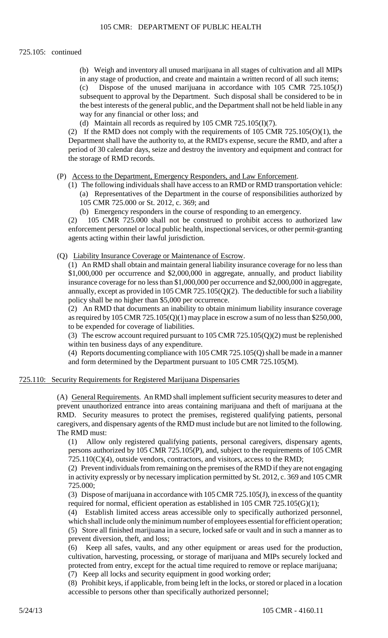### 725.105: continued

 (b) Weigh and inventory all unused marijuana in all stages of cultivation and all MIPs in any stage of production, and create and maintain a written record of all such items; (c) Dispose of the unused marijuana in accordance with 105 CMR 725.105(J) subsequent to approval by the Department. Such disposal shall be considered to be in the best interests of the general public, and the Department shall not be held liable in any way for any financial or other loss; and

(d) Maintain all records as required by 105 CMR 725.105(I)(7).

(2) If the RMD does not comply with the requirements of  $105$  CMR  $725.105(0)(1)$ , the Department shall have the authority to, at the RMD's expense, secure the RMD, and after a period of 30 calendar days, seize and destroy the inventory and equipment and contract for the storage of RMD records.

(P) Access to the Department, Emergency Responders, and Law Enforcement.

- (1) The following individuals shall have access to an RMD or RMD transportation vehicle: (a) Representatives of the Department in the course of responsibilities authorized by 105 CMR 725.000 or St. 2012, c. 369; and
	- (b) Emergency responders in the course of responding to an emergency.

(2) 105 CMR 725.000 shall not be construed to prohibit access to authorized law enforcement personnel or local public health, inspectional services, or other permit-granting agents acting within their lawful jurisdiction.

(Q) Liability Insurance Coverage or Maintenance of Escrow.

 annually, except as provided in 105 CMR 725.105(Q)(2). The deductible for such a liability (1) An RMD shall obtain and maintain general liability insurance coverage for no less than \$1,000,000 per occurrence and \$2,000,000 in aggregate, annually, and product liability insurance coverage for no less than \$1,000,000 per occurrence and \$2,000,000 in aggregate, policy shall be no higher than \$5,000 per occurrence.

 (2) An RMD that documents an inability to obtain minimum liability insurance coverage as required by 105 CMR 725.105(Q)(1) may place in escrow a sum of no less than \$250,000, to be expended for coverage of liabilities.

(3) The escrow account required pursuant to 105 CMR 725.105(Q)(2) must be replenished within ten business days of any expenditure.

(4) Reports documenting compliance with 105 CMR 725.105(Q) shall be made in a manner and form determined by the Department pursuant to 105 CMR 725.105(M).

#### 725.110: Security Requirements for Registered Marijuana Dispensaries

(A) General Requirements. An RMD shall implement sufficient security measures to deter and prevent unauthorized entrance into areas containing marijuana and theft of marijuana at the RMD. Security measures to protect the premises, registered qualifying patients, personal caregivers, and dispensary agents of the RMD must include but are not limited to the following. The RMD must:

(1) Allow only registered qualifying patients, personal caregivers, dispensary agents, persons authorized by 105 CMR 725.105(P), and, subject to the requirements of 105 CMR  $725.110(C)(4)$ , outside vendors, contractors, and visitors, access to the RMD;

(2) Prevent individuals from remaining on the premises of the RMD if they are not engaging in activity expressly or by necessary implication permitted by St. 2012, c. 369 and 105 CMR 725.000;

 (3) Dispose of marijuana in accordance with 105 CMR 725.105(J), in excess of the quantity required for normal, efficient operation as established in 105 CMR 725.105(G)(1);

 (5) Store all finished marijuana in a secure, locked safe or vault and in such a manner as to (4) Establish limited access areas accessible only to specifically authorized personnel, which shall include only the minimum number of employees essential for efficient operation; prevent diversion, theft, and loss;

(6) Keep all safes, vaults, and any other equipment or areas used for the production, cultivation, harvesting, processing, or storage of marijuana and MIPs securely locked and protected from entry, except for the actual time required to remove or replace marijuana;

(7) Keep all locks and security equipment in good working order;

(8) Prohibit keys, if applicable, from being left in the locks, or stored or placed in a location accessible to persons other than specifically authorized personnel;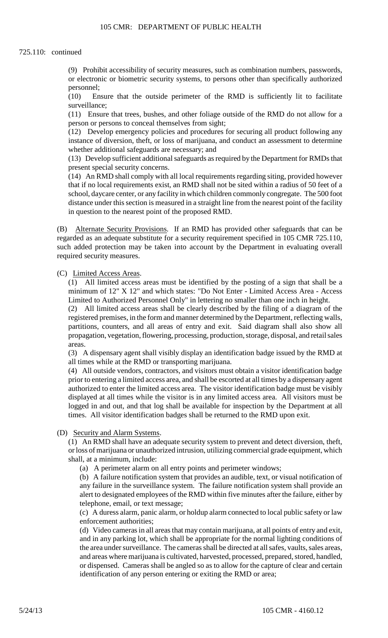#### 725.110: continued

 (9) Prohibit accessibility of security measures, such as combination numbers, passwords, or electronic or biometric security systems, to persons other than specifically authorized personnel;

(10) Ensure that the outside perimeter of the RMD is sufficiently lit to facilitate surveillance;

person or persons to conceal themselves from sight; (11) Ensure that trees, bushes, and other foliage outside of the RMD do not allow for a

 $(12)$  Develop emergency policies and procedures for securing all product following any instance of diversion, theft, or loss of marijuana, and conduct an assessment to determine whether additional safeguards are necessary; and

(13) Develop sufficient additional safeguards as required by the Department for RMDs that present special security concerns.

 distance under this section is measured in a straight line from the nearest point of the facility (14) An RMD shall comply with all local requirements regarding siting, provided however that if no local requirements exist, an RMD shall not be sited within a radius of 50 feet of a school, daycare center, or any facility in which children commonly congregate. The 500 foot in question to the nearest point of the proposed RMD.

 such added protection may be taken into account by the Department in evaluating overall (B) Alternate Security Provisions. If an RMD has provided other safeguards that can be regarded as an adequate substitute for a security requirement specified in 105 CMR 725.110, required security measures.

(C) Limited Access Areas.

 (1) All limited access areas must be identified by the posting of a sign that shall be a minimum of 12" X 12" and which states: "Do Not Enter - Limited Access Area - Access Limited to Authorized Personnel Only" in lettering no smaller than one inch in height.

 registered premises, in the form and manner determined by the Department, reflecting walls, (2) All limited access areas shall be clearly described by the filing of a diagram of the partitions, counters, and all areas of entry and exit. Said diagram shall also show all propagation, vegetation, flowering, processing, production, storage, disposal, and retail sales areas.

(3) A dispensary agent shall visibly display an identification badge issued by the RMD at all times while at the RMD or transporting marijuana.

 (4) All outside vendors, contractors, and visitors must obtain a visitor identification badge prior to entering a limited access area, and shall be escorted at all times by a dispensary agent authorized to enter the limited access area. The visitor identification badge must be visibly displayed at all times while the visitor is in any limited access area. All visitors must be logged in and out, and that log shall be available for inspection by the Department at all times. All visitor identification badges shall be returned to the RMD upon exit.

(D) Security and Alarm Systems.

 (1) An RMD shall have an adequate security system to prevent and detect diversion, theft, or loss of marijuana or unauthorized intrusion, utilizing commercial grade equipment, which shall, at a minimum, include:

(a) A perimeter alarm on all entry points and perimeter windows;

(b) A failure notification system that provides an audible, text, or visual notification of any failure in the surveillance system. The failure notification system shall provide an alert to designated employees of the RMD within five minutes after the failure, either by telephone, email, or text message;

(c) A duress alarm, panic alarm, or holdup alarm connected to local public safety or law enforcement authorities;

(d) Video cameras in all areas that may contain marijuana, at all points of entry and exit, and in any parking lot, which shall be appropriate for the normal lighting conditions of the area under surveillance. The cameras shall be directed at all safes, vaults, sales areas, and areas where marijuana is cultivated, harvested, processed, prepared, stored, handled, or dispensed. Cameras shall be angled so as to allow for the capture of clear and certain identification of any person entering or exiting the RMD or area;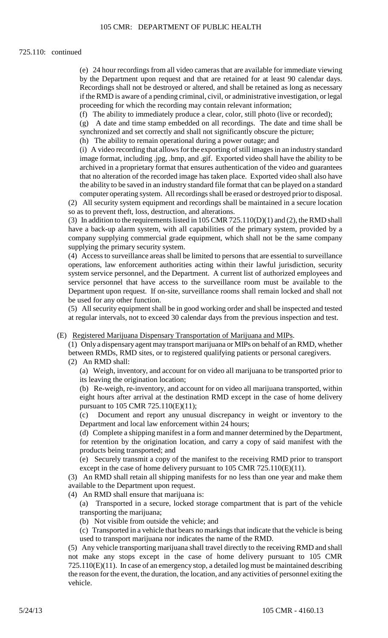#### 725.110: continued

(e) 24 hour recordings from all video cameras that are available for immediate viewing by the Department upon request and that are retained for at least 90 calendar days. Recordings shall not be destroyed or altered, and shall be retained as long as necessary if the RMD is aware of a pending criminal, civil, or administrative investigation, or legal proceeding for which the recording may contain relevant information;

(f) The ability to immediately produce a clear, color, still photo (live or recorded);

 (g) A date and time stamp embedded on all recordings. The date and time shall be synchronized and set correctly and shall not significantly obscure the picture;

(h) The ability to remain operational during a power outage; and

(i) A video recording that allows for the exporting of still images in an industry standard image format, including .jpg, .bmp, and .gif. Exported video shall have the ability to be archived in a proprietary format that ensures authentication of the video and guarantees that no alteration of the recorded image has taken place. Exported video shall also have the ability to be saved in an industry standard file format that can be played on a standard computer operating system. All recordings shall be erased or destroyed prior to disposal.

(2) All security system equipment and recordings shall be maintained in a secure location so as to prevent theft, loss, destruction, and alterations.

(3) In addition to the requirements listed in 105 CMR 725.110(D)(1) and (2), the RMD shall have a back-up alarm system, with all capabilities of the primary system, provided by a company supplying commercial grade equipment, which shall not be the same company supplying the primary security system.

(4) Access to surveillance areas shall be limited to persons that are essential to surveillance operations, law enforcement authorities acting within their lawful jurisdiction, security system service personnel, and the Department. A current list of authorized employees and service personnel that have access to the surveillance room must be available to the Department upon request. If on-site, surveillance rooms shall remain locked and shall not be used for any other function.

(5) All security equipment shall be in good working order and shall be inspected and tested at regular intervals, not to exceed 30 calendar days from the previous inspection and test.

(E) Registered Marijuana Dispensary Transportation of Marijuana and MIPs.

 (1) Onlya dispensaryagent may transport marijuana or MIPs on behalf of an RMD, whether between RMDs, RMD sites, or to registered qualifying patients or personal caregivers.

(2) An RMD shall:

 (a) Weigh, inventory, and account for on video all marijuana to be transported prior to its leaving the origination location;

(b) Re-weigh, re-inventory, and account for on video all marijuana transported, within eight hours after arrival at the destination RMD except in the case of home delivery pursuant to 105 CMR 725.110(E)(11);

(c) Document and report any unusual discrepancy in weight or inventory to the Department and local law enforcement within 24 hours;

 (d) Complete a shipping manifest in a form and manner determined by the Department, for retention by the origination location, and carry a copy of said manifest with the products being transported; and

(e) Securely transmit a copy of the manifest to the receiving RMD prior to transport except in the case of home delivery pursuant to 105 CMR 725.110(E)(11).

 (3) An RMD shall retain all shipping manifests for no less than one year and make them available to the Department upon request.

(4) An RMD shall ensure that marijuana is:

(a) Transported in a secure, locked storage compartment that is part of the vehicle transporting the marijuana;

(b) Not visible from outside the vehicle; and

 (c) Transported in a vehicle that bears no markings that indicate that the vehicle is being used to transport marijuana nor indicates the name of the RMD.

 725.110(E)(11). In case of an emergency stop, a detailed log must be maintained describing (5) Any vehicle transporting marijuana shall travel directly to the receiving RMD and shall not make any stops except in the case of home delivery pursuant to 105 CMR the reason for the event, the duration, the location, and any activities of personnel exiting the vehicle.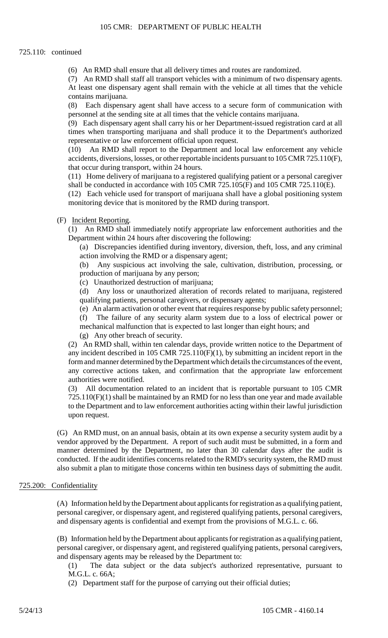#### 725.110: continued

(6) An RMD shall ensure that all delivery times and routes are randomized.

 (7) An RMD shall staff all transport vehicles with a minimum of two dispensary agents. At least one dispensary agent shall remain with the vehicle at all times that the vehicle contains marijuana.

 $(8)$ Each dispensary agent shall have access to a secure form of communication with personnel at the sending site at all times that the vehicle contains marijuana.

 (9) Each dispensary agent shall carry his or her Department-issued registration card at all times when transporting marijuana and shall produce it to the Department's authorized representative or law enforcement official upon request.

(10) An RMD shall report to the Department and local law enforcement any vehicle accidents, diversions, losses, or other reportable incidents pursuant to 105 CMR 725.110(F), that occur during transport, within 24 hours.

(11) Home delivery of marijuana to a registered qualifying patient or a personal caregiver shall be conducted in accordance with 105 CMR 725.105(F) and 105 CMR 725.110(E).

(12) Each vehicle used for transport of marijuana shall have a global positioning system monitoring device that is monitored by the RMD during transport.

#### (F) Incident Reporting.

(1) An RMD shall immediately notify appropriate law enforcement authorities and the Department within 24 hours after discovering the following:

(a) Discrepancies identified during inventory, diversion, theft, loss, and any criminal action involving the RMD or a dispensary agent;

(b) Any suspicious act involving the sale, cultivation, distribution, processing, or production of marijuana by any person;

(c) Unauthorized destruction of marijuana;

(d) Any loss or unauthorized alteration of records related to marijuana, registered qualifying patients, personal caregivers, or dispensary agents;

(e) An alarm activation or other event that requires response by public safety personnel;

(f) The failure of any security alarm system due to a loss of electrical power or mechanical malfunction that is expected to last longer than eight hours; and

(g) Any other breach of security.

(2) An RMD shall, within ten calendar days, provide written notice to the Department of any incident described in 105 CMR 725.110(F)(1), by submitting an incident report in the form and manner determined by the Department which details the circumstances of the event, any corrective actions taken, and confirmation that the appropriate law enforcement authorities were notified.

 (3) All documentation related to an incident that is reportable pursuant to 105 CMR 725.110(F)(1) shall be maintained by an RMD for no less than one year and made available to the Department and to law enforcement authorities acting within their lawful jurisdiction upon request.

 (G) An RMD must, on an annual basis, obtain at its own expense a security system audit by a conducted. If the audit identifies concerns related to the RMD's security system, the RMD must vendor approved by the Department. A report of such audit must be submitted, in a form and manner determined by the Department, no later than 30 calendar days after the audit is also submit a plan to mitigate those concerns within ten business days of submitting the audit.

#### 725.200: Confidentiality

 (A) Information held by the Department about applicants for registration as a qualifying patient, personal caregiver, or dispensary agent, and registered qualifying patients, personal caregivers, and dispensary agents is confidential and exempt from the provisions of M.G.L. c. 66.

(B) Information held by the Department about applicants for registration as a qualifying patient, personal caregiver, or dispensary agent, and registered qualifying patients, personal caregivers, and dispensary agents may be released by the Department to:

(1) The data subject or the data subject's authorized representative, pursuant to M.G.L. c. 66A;

(2) Department staff for the purpose of carrying out their official duties;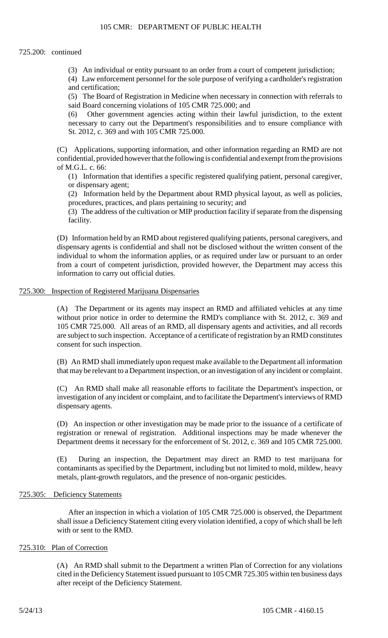(3) An individual or entity pursuant to an order from a court of competent jurisdiction;

(4) Law enforcement personnel for the sole purpose of verifying a cardholder's registration and certification;

(5) The Board of Registration in Medicine when necessary in connection with referrals to said Board concerning violations of 105 CMR 725.000; and

(6) Other government agencies acting within their lawful jurisdiction, to the extent necessary to carry out the Department's responsibilities and to ensure compliance with St. 2012, c. 369 and with 105 CMR 725.000.

 (C) Applications, supporting information, and other information regarding an RMD are not confidential, provided however that the following is confidential and exempt from the provisions of M.G.L. c. 66:

(1) Information that identifies a specific registered qualifying patient, personal caregiver, or dispensary agent;

(2) Information held by the Department about RMD physical layout, as well as policies, procedures, practices, and plans pertaining to security; and

(3) The address of the cultivation or MIP production facility if separate from the dispensing facility.

 (D) Information held by an RMD about registered qualifying patients, personal caregivers, and dispensary agents is confidential and shall not be disclosed without the written consent of the individual to whom the information applies, or as required under law or pursuant to an order from a court of competent jurisdiction, provided however, the Department may access this information to carry out official duties.

#### 725.300: Inspection of Registered Marijuana Dispensaries

 (A) The Department or its agents may inspect an RMD and affiliated vehicles at any time without prior notice in order to determine the RMD's compliance with St. 2012, c. 369 and 105 CMR 725.000. All areas of an RMD, all dispensary agents and activities, and all records are subject to such inspection. Acceptance of a certificate of registration by an RMD constitutes consent for such inspection.

(B) An RMD shall immediately upon request make available to the Department all information that may be relevant to a Department inspection, or an investigation of any incident or complaint.

(C) An RMD shall make all reasonable efforts to facilitate the Department's inspection, or investigation of any incident or complaint, and to facilitate the Department's interviews of RMD dispensary agents.

(D) An inspection or other investigation may be made prior to the issuance of a certificate of registration or renewal of registration. Additional inspections may be made whenever the Department deems it necessary for the enforcement of St. 2012, c. 369 and 105 CMR 725.000.

(E) During an inspection, the Department may direct an RMD to test marijuana for contaminants as specified by the Department, including but not limited to mold, mildew, heavy metals, plant-growth regulators, and the presence of non-organic pesticides.

### 725.305: Deficiency Statements

After an inspection in which a violation of 105 CMR 725.000 is observed, the Department shall issue a Deficiency Statement citing every violation identified, a copy of which shall be left with or sent to the RMD.

## 725.310: Plan of Correction

 cited in the Deficiency Statement issued pursuant to 105 CMR 725.305 within ten business days (A) An RMD shall submit to the Department a written Plan of Correction for any violations after receipt of the Deficiency Statement.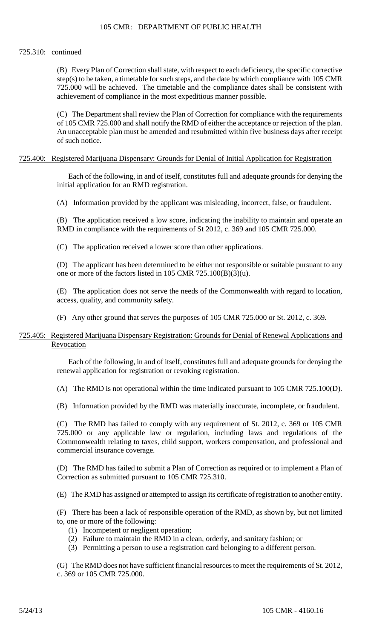#### 725.310: continued

 (B) Every Plan of Correction shall state, with respect to each deficiency, the specific corrective step(s) to be taken, a timetable for such steps, and the date by which compliance with 105 CMR 725.000 will be achieved. The timetable and the compliance dates shall be consistent with achievement of compliance in the most expeditious manner possible.

 (C) The Department shall review the Plan of Correction for compliance with the requirements of 105 CMR 725.000 and shall notify the RMD of either the acceptance or rejection of the plan. An unacceptable plan must be amended and resubmitted within five business days after receipt of such notice.

#### 725.400: Registered Marijuana Dispensary: Grounds for Denial of Initial Application for Registration

Each of the following, in and of itself, constitutes full and adequate grounds for denying the initial application for an RMD registration.

(A) Information provided by the applicant was misleading, incorrect, false, or fraudulent.

(B) The application received a low score, indicating the inability to maintain and operate an RMD in compliance with the requirements of St 2012, c. 369 and 105 CMR 725.000.

(C) The application received a lower score than other applications.

(D) The applicant has been determined to be either not responsible or suitable pursuant to any one or more of the factors listed in 105 CMR 725.100(B)(3)(u).

(E) The application does not serve the needs of the Commonwealth with regard to location, access, quality, and community safety.

(F) Any other ground that serves the purposes of 105 CMR 725.000 or St. 2012, c. 369.

#### 725.405: Registered Marijuana Dispensary Registration: Grounds for Denial of Renewal Applications and Revocation

Each of the following, in and of itself, constitutes full and adequate grounds for denying the renewal application for registration or revoking registration.

(A) The RMD is not operational within the time indicated pursuant to 105 CMR 725.100(D).

(B) Information provided by the RMD was materially inaccurate, incomplete, or fraudulent.

 (C) The RMD has failed to comply with any requirement of St. 2012, c. 369 or 105 CMR 725.000 or any applicable law or regulation, including laws and regulations of the Commonwealth relating to taxes, child support, workers compensation, and professional and commercial insurance coverage.

(D) The RMD has failed to submit a Plan of Correction as required or to implement a Plan of Correction as submitted pursuant to 105 CMR 725.310.

(E) The RMD has assigned or attempted to assign its certificate of registration to another entity.

(F) There has been a lack of responsible operation of the RMD, as shown by, but not limited to, one or more of the following:

- (1) Incompetent or negligent operation;
- (2) Failure to maintain the RMD in a clean, orderly, and sanitary fashion; or
- (3) Permitting a person to use a registration card belonging to a different person.

(G) The RMD does not have sufficient financial resources to meet the requirements of St. 2012, c. 369 or 105 CMR 725.000.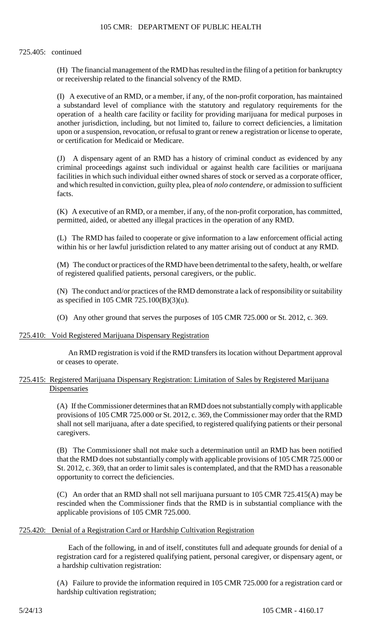#### 725.405: continued

(H) The financial management of the RMD has resulted in the filing of a petition for bankruptcy or receivership related to the financial solvency of the RMD.

(I) A executive of an RMD, or a member, if any, of the non-profit corporation, has maintained a substandard level of compliance with the statutory and regulatory requirements for the operation of a health care facility or facility for providing marijuana for medical purposes in another jurisdiction, including, but not limited to, failure to correct deficiencies, a limitation upon or a suspension, revocation, or refusal to grant or renew a registration or license to operate, or certification for Medicaid or Medicare.

 (J) A dispensary agent of an RMD has a history of criminal conduct as evidenced by any criminal proceedings against such individual or against health care facilities or marijuana facilities in which such individual either owned shares of stock or served as a corporate officer, and which resulted in conviction, guilty plea, plea of *nolo contendere*, or admission to sufficient facts.

(K) A executive of an RMD, or a member, if any, of the non-profit corporation, has committed, permitted, aided, or abetted any illegal practices in the operation of any RMD.

(L) The RMD has failed to cooperate or give information to a law enforcement official acting within his or her lawful jurisdiction related to any matter arising out of conduct at any RMD.

(M) The conduct or practices of the RMD have been detrimental to the safety, health, or welfare of registered qualified patients, personal caregivers, or the public.

 (N) The conduct and/or practices of the RMD demonstrate a lack of responsibility or suitability as specified in 105 CMR 725.100(B)(3)(u).

(O) Any other ground that serves the purposes of 105 CMR 725.000 or St. 2012, c. 369.

#### 725.410: Void Registered Marijuana Dispensary Registration

An RMD registration is void if the RMD transfers its location without Department approval or ceases to operate.

## 725.415: Registered Marijuana Dispensary Registration: Limitation of Sales by Registered Marijuana Dispensaries

 provisions of 105 CMR 725.000 or St. 2012, c. 369, the Commissioner may order that the RMD (A) If the Commissioner determines that an RMD does not substantially comply with applicable shall not sell marijuana, after a date specified, to registered qualifying patients or their personal caregivers.

 (B) The Commissioner shall not make such a determination until an RMD has been notified that the RMD does not substantially comply with applicable provisions of 105 CMR 725.000 or St. 2012, c. 369, that an order to limit sales is contemplated, and that the RMD has a reasonable opportunity to correct the deficiencies.

(C) An order that an RMD shall not sell marijuana pursuant to 105 CMR 725.415(A) may be rescinded when the Commissioner finds that the RMD is in substantial compliance with the applicable provisions of 105 CMR 725.000.

## 725.420: Denial of a Registration Card or Hardship Cultivation Registration

Each of the following, in and of itself, constitutes full and adequate grounds for denial of a registration card for a registered qualifying patient, personal caregiver, or dispensary agent, or a hardship cultivation registration:

(A) Failure to provide the information required in 105 CMR 725.000 for a registration card or hardship cultivation registration;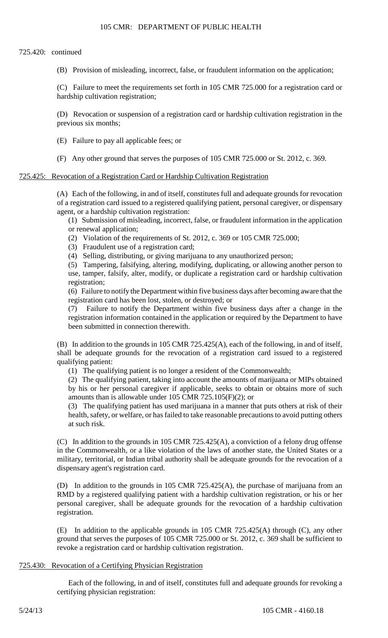#### 725.420: continued

(B) Provision of misleading, incorrect, false, or fraudulent information on the application;

(C) Failure to meet the requirements set forth in 105 CMR 725.000 for a registration card or hardship cultivation registration;

(D) Revocation or suspension of a registration card or hardship cultivation registration in the previous six months;

(E) Failure to pay all applicable fees; or

(F) Any other ground that serves the purposes of 105 CMR 725.000 or St. 2012, c. 369.

#### 725.425: Revocation of a Registration Card or Hardship Cultivation Registration

(A) Each of the following, in and of itself, constitutes full and adequate grounds for revocation of a registration card issued to a registered qualifying patient, personal caregiver, or dispensary agent, or a hardship cultivation registration:

(1) Submission of misleading, incorrect, false, or fraudulent information in the application or renewal application;

- (2) Violation of the requirements of St. 2012, c. 369 or 105 CMR 725.000;
- (3) Fraudulent use of a registration card;
- (4) Selling, distributing, or giving marijuana to any unauthorized person;

 (5) Tampering, falsifying, altering, modifying, duplicating, or allowing another person to use, tamper, falsify, alter, modify, or duplicate a registration card or hardship cultivation registration;

(6) Failure to notify the Department within five business days after becoming aware that the registration card has been lost, stolen, or destroyed; or

(7) Failure to notify the Department within five business days after a change in the registration information contained in the application or required by the Department to have been submitted in connection therewith.

(B) In addition to the grounds in 105 CMR 725.425(A), each of the following, in and of itself, shall be adequate grounds for the revocation of a registration card issued to a registered qualifying patient:

(1) The qualifying patient is no longer a resident of the Commonwealth;

 (2) The qualifying patient, taking into account the amounts of marijuana or MIPs obtained by his or her personal caregiver if applicable, seeks to obtain or obtains more of such amounts than is allowable under 105 CMR 725.105(F)(2); or

(3) The qualifying patient has used marijuana in a manner that puts others at risk of their health, safety, or welfare, or has failed to take reasonable precautions to avoid putting others at such risk.

 (C) In addition to the grounds in 105 CMR 725.425(A), a conviction of a felony drug offense in the Commonwealth, or a like violation of the laws of another state, the United States or a military, territorial, or Indian tribal authority shall be adequate grounds for the revocation of a dispensary agent's registration card.

(D) In addition to the grounds in 105 CMR 725.425(A), the purchase of marijuana from an RMD by a registered qualifying patient with a hardship cultivation registration, or his or her personal caregiver, shall be adequate grounds for the revocation of a hardship cultivation registration.

 (E) In addition to the applicable grounds in 105 CMR 725.425(A) through (C), any other ground that serves the purposes of 105 CMR 725.000 or St. 2012, c. 369 shall be sufficient to revoke a registration card or hardship cultivation registration.

## 725.430: Revocation of a Certifying Physician Registration

 Each of the following, in and of itself, constitutes full and adequate grounds for revoking a certifying physician registration: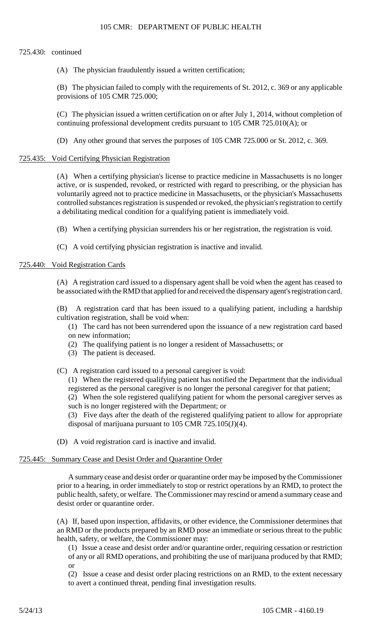### 725.430: continued

(A) The physician fraudulently issued a written certification;

 (B) The physician failed to comply with the requirements of St. 2012, c. 369 or any applicable provisions of 105 CMR 725.000;

 (C) The physician issued a written certification on or after July 1, 2014, without completion of continuing professional development credits pursuant to 105 CMR 725.010(A); or

(D) Any other ground that serves the purposes of 105 CMR 725.000 or St. 2012, c. 369.

#### 725.435: Void Certifying Physician Registration

(A) When a certifying physician's license to practice medicine in Massachusetts is no longer active, or is suspended, revoked, or restricted with regard to prescribing, or the physician has voluntarily agreed not to practice medicine in Massachusetts, or the physician's Massachusetts controlled substances registration is suspended or revoked, the physician's registration to certify a debilitating medical condition for a qualifying patient is immediately void.

(B) When a certifying physician surrenders his or her registration, the registration is void.

(C) A void certifying physician registration is inactive and invalid.

#### 725.440: Void Registration Cards

(A) A registration card issued to a dispensary agent shall be void when the agent has ceased to be associated with the RMD that applied for and received the dispensary agent's registration card.

(B) A registration card that has been issued to a qualifying patient, including a hardship cultivation registration, shall be void when:

- (1) The card has not been surrendered upon the issuance of a new registration card based on new information;
- (2) The qualifying patient is no longer a resident of Massachusetts; or
- (3) The patient is deceased.
- (C) A registration card issued to a personal caregiver is void:

(1) When the registered qualifying patient has notified the Department that the individual registered as the personal caregiver is no longer the personal caregiver for that patient;

(2) When the sole registered qualifying patient for whom the personal caregiver serves as such is no longer registered with the Department; or

 (3) Five days after the death of the registered qualifying patient to allow for appropriate disposal of marijuana pursuant to 105 CMR 725.105(J)(4).

(D) A void registration card is inactive and invalid.

#### 725.445: Summary Cease and Desist Order and Quarantine Order

 public health, safety, or welfare. The Commissioner may rescind or amend a summary cease and A summary cease and desist order or quarantine order may be imposed by the Commissioner prior to a hearing, in order immediately to stop or restrict operations by an RMD, to protect the desist order or quarantine order.

 an RMD or the products prepared by an RMD pose an immediate or serious threat to the public (A) If, based upon inspection, affidavits, or other evidence, the Commissioner determines that health, safety, or welfare, the Commissioner may:

(1) Issue a cease and desist order and/or quarantine order, requiring cessation or restriction of any or all RMD operations, and prohibiting the use of marijuana produced by that RMD; or

 (2) Issue a cease and desist order placing restrictions on an RMD, to the extent necessary to avert a continued threat, pending final investigation results.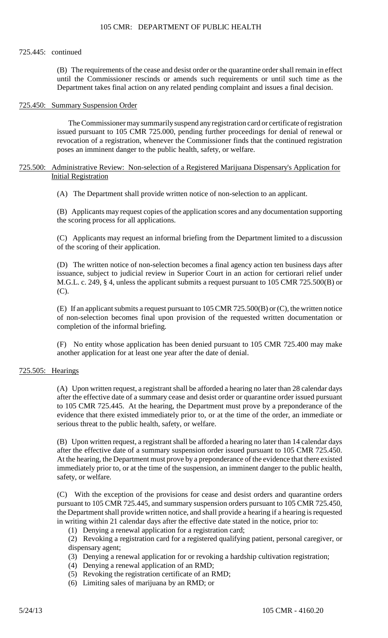#### 725.445: continued

(B) The requirements of the cease and desist order or the quarantine order shall remain in effect until the Commissioner rescinds or amends such requirements or until such time as the Department takes final action on any related pending complaint and issues a final decision.

#### 725.450: Summary Suspension Order

The Commissioner may summarily suspend any registration card or certificate of registration issued pursuant to 105 CMR 725.000, pending further proceedings for denial of renewal or revocation of a registration, whenever the Commissioner finds that the continued registration poses an imminent danger to the public health, safety, or welfare.

## 725.500: Administrative Review: Non-selection of a Registered Marijuana Dispensary's Application for Initial Registration

(A) The Department shall provide written notice of non-selection to an applicant.

(B) Applicants may request copies of the application scores and any documentation supporting the scoring process for all applications.

(C) Applicants may request an informal briefing from the Department limited to a discussion of the scoring of their application.

 issuance, subject to judicial review in Superior Court in an action for certiorari relief under (D) The written notice of non-selection becomes a final agency action ten business days after M.G.L. c. 249, § 4, unless the applicant submits a request pursuant to 105 CMR 725.500(B) or (C).

(E) If an applicant submits a request pursuant to  $105$  CMR  $725.500(B)$  or (C), the written notice of non-selection becomes final upon provision of the requested written documentation or completion of the informal briefing.

(F) No entity whose application has been denied pursuant to 105 CMR 725.400 may make another application for at least one year after the date of denial.

#### 725.505: Hearings

 (A) Upon written request, a registrant shall be afforded a hearing no later than 28 calendar days after the effective date of a summary cease and desist order or quarantine order issued pursuant to 105 CMR 725.445. At the hearing, the Department must prove by a preponderance of the evidence that there existed immediately prior to, or at the time of the order, an immediate or serious threat to the public health, safety, or welfare.

 (B) Upon written request, a registrant shall be afforded a hearing no later than 14 calendar days after the effective date of a summary suspension order issued pursuant to 105 CMR 725.450. At the hearing, the Department must prove by a preponderance of the evidence that there existed immediately prior to, or at the time of the suspension, an imminent danger to the public health, safety, or welfare.

(C) With the exception of the provisions for cease and desist orders and quarantine orders pursuant to 105 CMR 725.445, and summary suspension orders pursuant to 105 CMR 725.450, the Department shall provide written notice, and shall provide a hearing if a hearing is requested in writing within 21 calendar days after the effective date stated in the notice, prior to:

(1) Denying a renewal application for a registration card;

(2) Revoking a registration card for a registered qualifying patient, personal caregiver, or dispensary agent;

- (3) Denying a renewal application for or revoking a hardship cultivation registration;
- (4) Denying a renewal application of an RMD;
- (5) Revoking the registration certificate of an RMD;
- (6) Limiting sales of marijuana by an RMD; or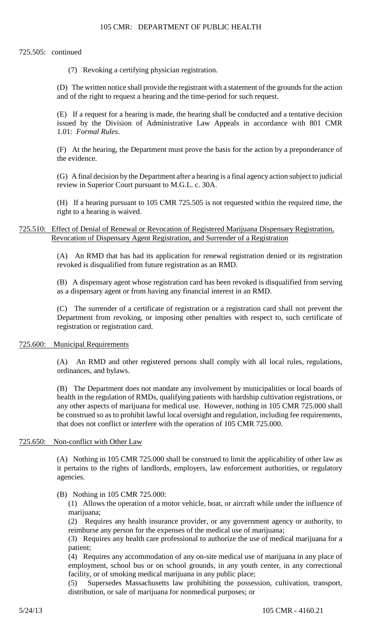#### 725.505: continued

(7) Revoking a certifying physician registration.

(D) The written notice shall provide the registrant with a statement of the grounds for the action and of the right to request a hearing and the time-period for such request.

(E) If a request for a hearing is made, the hearing shall be conducted and a tentative decision issued by the Division of Administrative Law Appeals in accordance with 801 CMR 1.01: *Formal Rules*.

(F) At the hearing, the Department must prove the basis for the action by a preponderance of the evidence.

(G) A final decision by the Department after a hearing is a final agency action subject to judicial review in Superior Court pursuant to M.G.L. c. 30A.

(H) If a hearing pursuant to 105 CMR 725.505 is not requested within the required time, the right to a hearing is waived.

725.510: Effect of Denial of Renewal or Revocation of Registered Marijuana Dispensary Registration, Revocation of Dispensary Agent Registration, and Surrender of a Registration

> (A) An RMD that has had its application for renewal registration denied or its registration revoked is disqualified from future registration as an RMD.

> (B) A dispensary agent whose registration card has been revoked is disqualified from serving as a dispensary agent or from having any financial interest in an RMD.

> (C) The surrender of a certificate of registration or a registration card shall not prevent the Department from revoking, or imposing other penalties with respect to, such certificate of registration or registration card.

#### 725.600: Municipal Requirements

(A) An RMD and other registered persons shall comply with all local rules, regulations, ordinances, and bylaws.

 (B) The Department does not mandate any involvement by municipalities or local boards of any other aspects of marijuana for medical use. However, nothing in 105 CMR 725.000 shall health in the regulation of RMDs, qualifying patients with hardship cultivation registrations, or be construed so as to prohibit lawful local oversight and regulation, including fee requirements, that does not conflict or interfere with the operation of 105 CMR 725.000.

### 725.650: Non-conflict with Other Law

(A) Nothing in 105 CMR 725.000 shall be construed to limit the applicability of other law as it pertains to the rights of landlords, employers, law enforcement authorities, or regulatory agencies.

(B) Nothing in 105 CMR 725.000:

(1) Allows the operation of a motor vehicle, boat, or aircraft while under the influence of marijuana;

(2) Requires any health insurance provider, or any government agency or authority, to reimburse any person for the expenses of the medical use of marijuana;

 (3) Requires any health care professional to authorize the use of medical marijuana for a patient;

(4) Requires any accommodation of any on-site medical use of marijuana in any place of employment, school bus or on school grounds, in any youth center, in any correctional facility, or of smoking medical marijuana in any public place;

(5) Supersedes Massachusetts law prohibiting the possession, cultivation, transport, distribution, or sale of marijuana for nonmedical purposes; or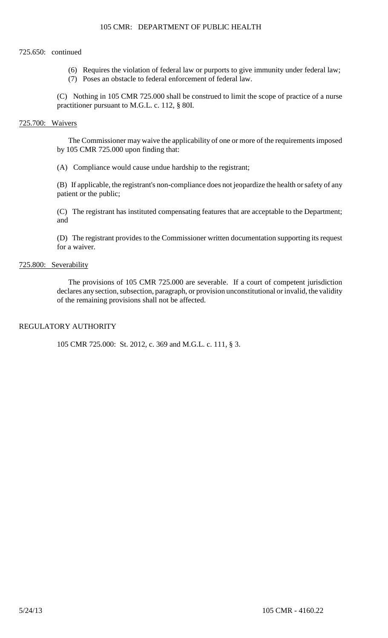## 725.650: continued

- (6) Requires the violation of federal law or purports to give immunity under federal law;
- (7) Poses an obstacle to federal enforcement of federal law.

(C) Nothing in 105 CMR 725.000 shall be construed to limit the scope of practice of a nurse practitioner pursuant to M.G.L. c. 112, § 80I.

## 725.700: Waivers

The Commissioner may waive the applicability of one or more of the requirements imposed by 105 CMR 725.000 upon finding that:

(A) Compliance would cause undue hardship to the registrant;

(B) If applicable, the registrant's non-compliance does not jeopardize the health or safety of any patient or the public;

(C) The registrant has instituted compensating features that are acceptable to the Department; and

(D) The registrant provides to the Commissioner written documentation supporting its request for a waiver.

# 725.800: Severability

 The provisions of 105 CMR 725.000 are severable. If a court of competent jurisdiction declares any section, subsection, paragraph, or provision unconstitutional or invalid, the validity of the remaining provisions shall not be affected.

# REGULATORY AUTHORITY

105 CMR 725.000: St. 2012, c. 369 and M.G.L. c. 111, § 3.